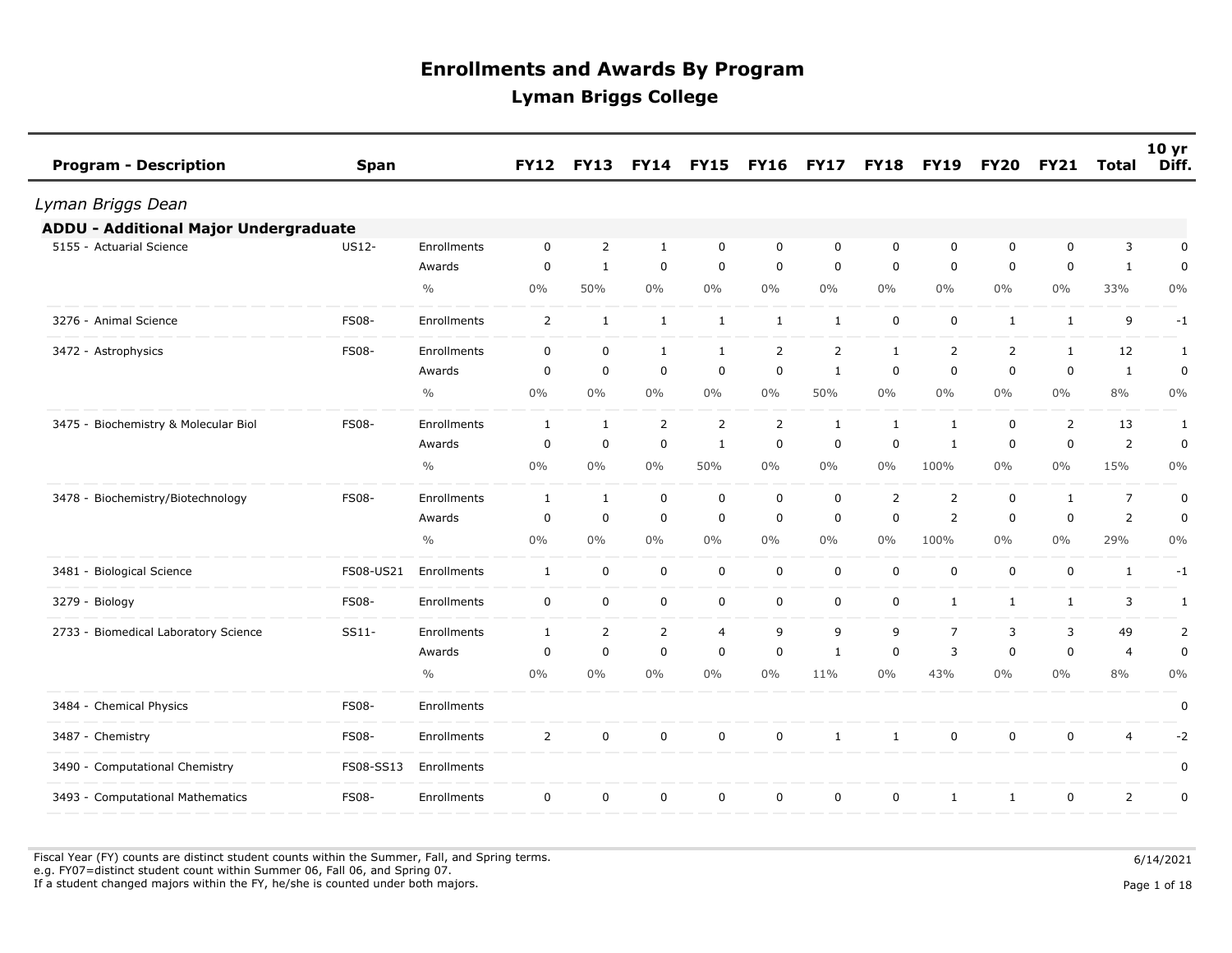| <b>Program - Description</b>                 | Span         |               | <b>FY12</b>    | <b>FY13</b>    | <b>FY14</b>    | <b>FY15</b>  | <b>FY16</b>    | <b>FY17</b>    | <b>FY18</b>  | <b>FY19</b>    | <b>FY20</b>    | <b>FY21</b>  | Total          | 10 <sub>yr</sub><br>Diff. |
|----------------------------------------------|--------------|---------------|----------------|----------------|----------------|--------------|----------------|----------------|--------------|----------------|----------------|--------------|----------------|---------------------------|
| Lyman Briggs Dean                            |              |               |                |                |                |              |                |                |              |                |                |              |                |                           |
| <b>ADDU - Additional Major Undergraduate</b> |              |               |                |                |                |              |                |                |              |                |                |              |                |                           |
| 5155 - Actuarial Science                     | <b>US12-</b> | Enrollments   | $\mathbf 0$    | 2              | $\mathbf{1}$   | $\mathbf 0$  | $\mathbf 0$    | $\mathbf 0$    | $\mathbf 0$  | $\mathbf 0$    | $\mathbf 0$    | $\mathbf 0$  | 3              | 0                         |
|                                              |              | Awards        | $\mathbf 0$    | $\mathbf{1}$   | 0              | $\mathbf 0$  | $\mathbf 0$    | $\mathbf 0$    | $\mathbf 0$  | $\mathbf 0$    | $\mathbf 0$    | $\mathbf 0$  | $\mathbf{1}$   | $\mathbf 0$               |
|                                              |              | $\frac{0}{0}$ | $0\%$          | 50%            | $0\%$          | $0\%$        | $0\%$          | $0\%$          | $0\%$        | $0\%$          | $0\%$          | $0\%$        | 33%            | $0\%$                     |
| 3276 - Animal Science                        | <b>FS08-</b> | Enrollments   | $\overline{2}$ | 1              | $\mathbf{1}$   | $\mathbf{1}$ | $\mathbf{1}$   | $\mathbf{1}$   | 0            | $\mathbf 0$    | 1              | $\mathbf{1}$ | 9              | $-1$                      |
| 3472 - Astrophysics                          | <b>FS08-</b> | Enrollments   | 0              | $\mathbf 0$    | $\mathbf{1}$   | $\mathbf{1}$ | $\overline{2}$ | $\overline{2}$ | $\mathbf{1}$ | 2              | $\overline{2}$ | 1            | 12             | $\mathbf{1}$              |
|                                              |              | Awards        | 0              | $\mathbf 0$    | 0              | $\mathbf 0$  | $\mathbf 0$    | $\mathbf{1}$   | $\mathbf 0$  | $\mathbf 0$    | $\mathbf 0$    | $\mathbf 0$  | $\mathbf{1}$   | $\mathbf 0$               |
|                                              |              | $\frac{0}{0}$ | $0\%$          | $0\%$          | $0\%$          | $0\%$        | $0\%$          | 50%            | $0\%$        | $0\%$          | $0\%$          | $0\%$        | 8%             | $0\%$                     |
| 3475 - Biochemistry & Molecular Biol         | <b>FS08-</b> | Enrollments   | $\mathbf{1}$   | $\mathbf{1}$   | $\overline{2}$ | 2            | 2              | $\mathbf{1}$   | $\mathbf{1}$ | $\mathbf{1}$   | $\mathbf 0$    | 2            | 13             | $\mathbf{1}$              |
|                                              |              | Awards        | $\mathbf 0$    | $\mathbf 0$    | 0              | $\mathbf{1}$ | $\mathbf 0$    | $\mathbf 0$    | $\mathbf 0$  | $\mathbf{1}$   | $\mathbf 0$    | $\mathbf 0$  | 2              | 0                         |
|                                              |              | $\frac{0}{0}$ | $0\%$          | $0\%$          | $0\%$          | 50%          | $0\%$          | $0\%$          | 0%           | 100%           | $0\%$          | $0\%$        | 15%            | $0\%$                     |
| 3478 - Biochemistry/Biotechnology            | <b>FS08-</b> | Enrollments   | 1              | 1              | $\mathbf 0$    | $\mathbf 0$  | $\mathbf 0$    | $\mathbf 0$    | 2            | 2              | $\mathbf 0$    | 1            | $\overline{7}$ | $\mathbf 0$               |
|                                              |              | Awards        | $\mathbf 0$    | $\mathbf 0$    | 0              | $\mathbf 0$  | $\mathbf 0$    | $\mathbf 0$    | $\mathbf 0$  | $\overline{2}$ | $\mathbf 0$    | $\mathbf 0$  | $\overline{2}$ | 0                         |
|                                              |              | $\frac{0}{0}$ | $0\%$          | $0\%$          | $0\%$          | $0\%$        | $0\%$          | $0\%$          | $0\%$        | 100%           | $0\%$          | $0\%$        | 29%            | $0\%$                     |
| 3481 - Biological Science                    | FS08-US21    | Enrollments   | $\mathbf{1}$   | $\mathbf 0$    | $\mathsf 0$    | $\mathbf 0$  | 0              | $\mathbf 0$    | $\mathbf 0$  | $\mathsf 0$    | 0              | $\mathbf 0$  | $\mathbf{1}$   | $-1$                      |
| 3279 - Biology                               | <b>FS08-</b> | Enrollments   | $\mathsf{O}$   | $\mathbf 0$    | $\mathbf 0$    | 0            | $\mathbf 0$    | $\mathbf 0$    | $\mathbf 0$  | $\mathbf{1}$   | 1              | 1            | 3              | 1                         |
| 2733 - Biomedical Laboratory Science         | $SS11-$      | Enrollments   | 1              | $\overline{2}$ | $\overline{2}$ | 4            | 9              | 9              | 9            | $\overline{7}$ | 3              | 3            | 49             | $\overline{2}$            |
|                                              |              | Awards        | 0              | $\mathbf 0$    | 0              | $\mathbf 0$  | $\mathbf 0$    | 1              | $\mathbf 0$  | 3              | 0              | 0            | 4              | $\pmb{0}$                 |
|                                              |              | $\frac{0}{0}$ | $0\%$          | $0\%$          | $0\%$          | $0\%$        | $0\%$          | 11%            | $0\%$        | 43%            | $0\%$          | $0\%$        | 8%             | $0\%$                     |
| 3484 - Chemical Physics                      | <b>FS08-</b> | Enrollments   |                |                |                |              |                |                |              |                |                |              |                | 0                         |
| 3487 - Chemistry                             | <b>FS08-</b> | Enrollments   | $\overline{2}$ | $\mathbf 0$    | $\mathbf 0$    | $\mathbf 0$  | $\mathbf 0$    | $\mathbf{1}$   | $\mathbf{1}$ | $\mathbf 0$    | 0              | $\mathbf 0$  | $\overline{4}$ | $-2$                      |
| 3490 - Computational Chemistry               | FS08-SS13    | Enrollments   |                |                |                |              |                |                |              |                |                |              |                | 0                         |
| 3493 - Computational Mathematics             | <b>FS08-</b> | Enrollments   | $\mathbf 0$    | $\mathbf 0$    | $\mathbf 0$    | $\mathbf 0$  | $\mathbf 0$    | $\Omega$       | $\mathbf 0$  | 1              | $\mathbf{1}$   | $\mathbf 0$  | $\overline{2}$ | 0                         |
|                                              |              |               |                |                |                |              |                |                |              |                |                |              |                |                           |

Fiscal Year (FY) counts are distinct student counts within the Summer, Fall, and Spring terms.  $6/14/2021$  e.g. FY07=distinct student count within Summer 06, Fall 06, and Spring 07. If a student changed majors within the FY, he/she is counted under both majors. Page 1 of 18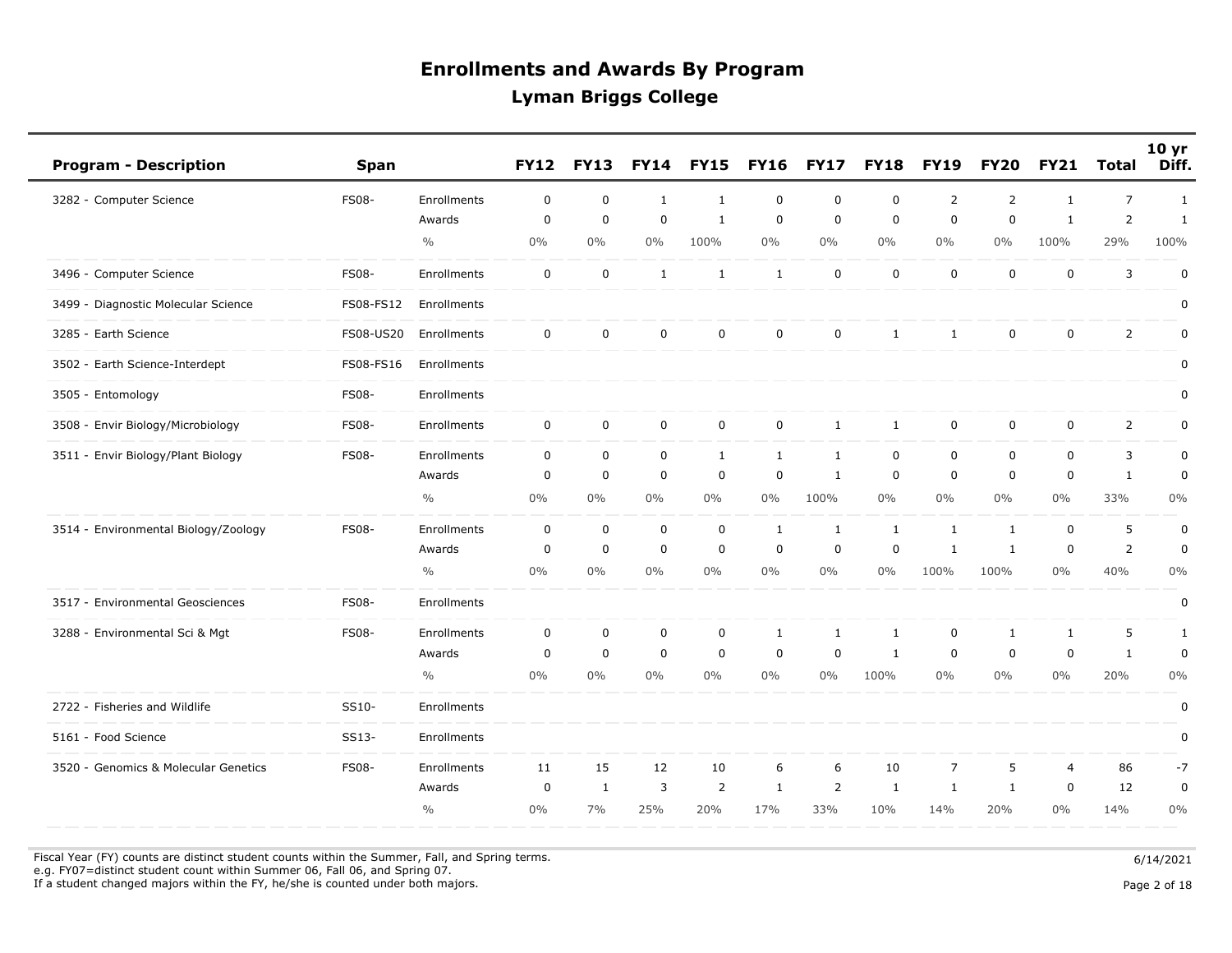| <b>Program - Description</b>         | Span         |                    | <b>FY12</b> | <b>FY13</b>  | <b>FY14</b>  | <b>FY15</b>  | <b>FY16</b>  | <b>FY17</b>  | <b>FY18</b>  | <b>FY19</b>    | <b>FY20</b>      | <b>FY21</b>    | <b>Total</b>   | 10 <sub>yr</sub><br>Diff. |
|--------------------------------------|--------------|--------------------|-------------|--------------|--------------|--------------|--------------|--------------|--------------|----------------|------------------|----------------|----------------|---------------------------|
| 3282 - Computer Science              | <b>FS08-</b> | Enrollments        | $\mathbf 0$ | $\pmb{0}$    | $\mathbf{1}$ | 1            | $\mathbf 0$  | $\mathbf 0$  | $\mathbf 0$  | $\overline{2}$ | $\overline{2}$   | $\mathbf{1}$   | $\overline{7}$ | $\mathbf{1}$              |
|                                      |              | Awards             | $\mathbf 0$ | $\mathbf 0$  | $\mathbf 0$  | $\mathbf{1}$ | $\mathbf 0$  | $\mathbf 0$  | $\mathbf 0$  | $\mathbf 0$    | $\mathbf 0$      | $\mathbf{1}$   | $\overline{2}$ | $\mathbf{1}$              |
|                                      |              | $\frac{0}{0}$      | $0\%$       | $0\%$        | $0\%$        | 100%         | 0%           | $0\%$        | 0%           | $0\%$          | $0\%$            | 100%           | 29%            | 100%                      |
| 3496 - Computer Science              | <b>FS08-</b> | Enrollments        | $\mathbf 0$ | $\mathbf 0$  | $\mathbf{1}$ | $1\,$        | $\mathbf{1}$ | $\mathbf 0$  | $\mathbf 0$  | $\mathbf 0$    | $\mathbf 0$      | $\mathsf{O}$   | 3              | $\pmb{0}$                 |
| 3499 - Diagnostic Molecular Science  | FS08-FS12    | Enrollments        |             |              |              |              |              |              |              |                |                  |                |                | 0                         |
| 3285 - Earth Science                 | FS08-US20    | Enrollments        | $\mathbf 0$ | $\mathbf 0$  | $\mathbf 0$  | 0            | $\mathbf 0$  | $\mathbf 0$  | $\mathbf{1}$ | $\mathbf{1}$   | $\mathbf 0$      | $\mathbf 0$    | $\overline{2}$ | $\mathbf 0$               |
| 3502 - Earth Science-Interdept       | FS08-FS16    | Enrollments        |             |              |              |              |              |              |              |                |                  |                |                | 0                         |
| 3505 - Entomology                    | <b>FS08-</b> | Enrollments        |             |              |              |              |              |              |              |                |                  |                |                | 0                         |
| 3508 - Envir Biology/Microbiology    | <b>FS08-</b> | Enrollments        | $\mathbf 0$ | $\mathbf 0$  | $\mathbf 0$  | $\mathbf 0$  | $\mathbf 0$  | $\mathbf{1}$ | $\mathbf{1}$ | $\mathsf 0$    | $\mathbf 0$      | $\mathbf 0$    | $\overline{2}$ | 0                         |
| 3511 - Envir Biology/Plant Biology   | <b>FS08-</b> | Enrollments        | $\mathbf 0$ | $\mathbf 0$  | $\mathbf 0$  | $\mathbf{1}$ | $\mathbf{1}$ | $\mathbf{1}$ | $\mathbf 0$  | $\mathbf 0$    | $\mathbf 0$      | $\mathbf 0$    | 3              | $\pmb{0}$                 |
|                                      |              | Awards             | $\mathbf 0$ | $\mathbf 0$  | $\mathbf 0$  | $\mathbf 0$  | $\mathbf 0$  | $\mathbf{1}$ | $\mathbf 0$  | $\mathbf 0$    | $\mathbf 0$      | $\mathbf 0$    | $\mathbf{1}$   | $\mathbf 0$               |
|                                      |              | $\frac{0}{0}$      | $0\%$       | 0%           | $0\%$        | $0\%$        | 0%           | 100%         | $0\%$        | $0\%$          | $0\%$            | $0\%$          | 33%            | 0%                        |
| 3514 - Environmental Biology/Zoology | <b>FS08-</b> | <b>Enrollments</b> | $\mathbf 0$ | $\mathbf 0$  | $\mathbf 0$  | $\mathbf 0$  | $\mathbf{1}$ | $\mathbf{1}$ | $\mathbf{1}$ | $\mathbf{1}$   | $\mathbf{1}$     | $\mathbf 0$    | 5              | $\pmb{0}$                 |
|                                      |              | Awards             | $\mathbf 0$ | $\mathbf 0$  | $\mathbf 0$  | $\mathbf 0$  | $\mathbf 0$  | $\mathbf 0$  | 0            | 1              | 1                | $\mathbf 0$    | $\overline{2}$ | $\mathbf 0$               |
|                                      |              | $\frac{0}{0}$      | $0\%$       | $0\%$        | $0\%$        | 0%           | 0%           | $0\%$        | $0\%$        | 100%           | 100%             | $0\%$          | 40%            | 0%                        |
| 3517 - Environmental Geosciences     | <b>FS08-</b> | Enrollments        |             |              |              |              |              |              |              |                |                  |                |                | $\pmb{0}$                 |
| 3288 - Environmental Sci & Mgt       | <b>FS08-</b> | Enrollments        | $\mathbf 0$ | 0            | $\mathbf 0$  | $\mathbf 0$  | 1            | $\mathbf{1}$ | $\mathbf{1}$ | $\mathbf 0$    | 1                | $\mathbf{1}$   | 5              | 1                         |
|                                      |              | Awards             | $\mathbf 0$ | $\pmb{0}$    | $\mathbf 0$  | $\mathbf 0$  | $\mathbf 0$  | $\mathbf 0$  | $\mathbf{1}$ | $\mathbf 0$    | $\boldsymbol{0}$ | $\mathbf 0$    | $\mathbf{1}$   | $\pmb{0}$                 |
|                                      |              | $\frac{0}{0}$      | $0\%$       | 0%           | $0\%$        | $0\%$        | 0%           | $0\%$        | 100%         | $0\%$          | $0\%$            | $0\%$          | 20%            | 0%                        |
| 2722 - Fisheries and Wildlife        | SS10-        | Enrollments        |             |              |              |              |              |              |              |                |                  |                |                | $\pmb{0}$                 |
| 5161 - Food Science                  | SS13-        | Enrollments        |             |              |              |              |              |              |              |                |                  |                |                | $\pmb{0}$                 |
| 3520 - Genomics & Molecular Genetics | <b>FS08-</b> | Enrollments        | 11          | 15           | 12           | 10           | 6            | 6            | 10           | $\overline{7}$ | 5                | $\overline{4}$ | 86             | $-7$                      |
|                                      |              | Awards             | $\mathbf 0$ | $\mathbf{1}$ | 3            | 2            | 1            | 2            | 1            | $\mathbf{1}$   | 1                | $\mathbf 0$    | 12             | $\pmb{0}$                 |
|                                      |              | $\frac{0}{0}$      | $0\%$       | 7%           | 25%          | 20%          | 17%          | 33%          | 10%          | 14%            | 20%              | $0\%$          | 14%            | 0%                        |

Fiscal Year (FY) counts are distinct student counts within the Summer, Fall, and Spring terms.  $6/14/2021$ e.g. FY07=distinct student count within Summer 06, Fall 06, and Spring 07.

If a student changed majors within the FY, he/she is counted under both majors. Page 2 of 18

Page 2 of 18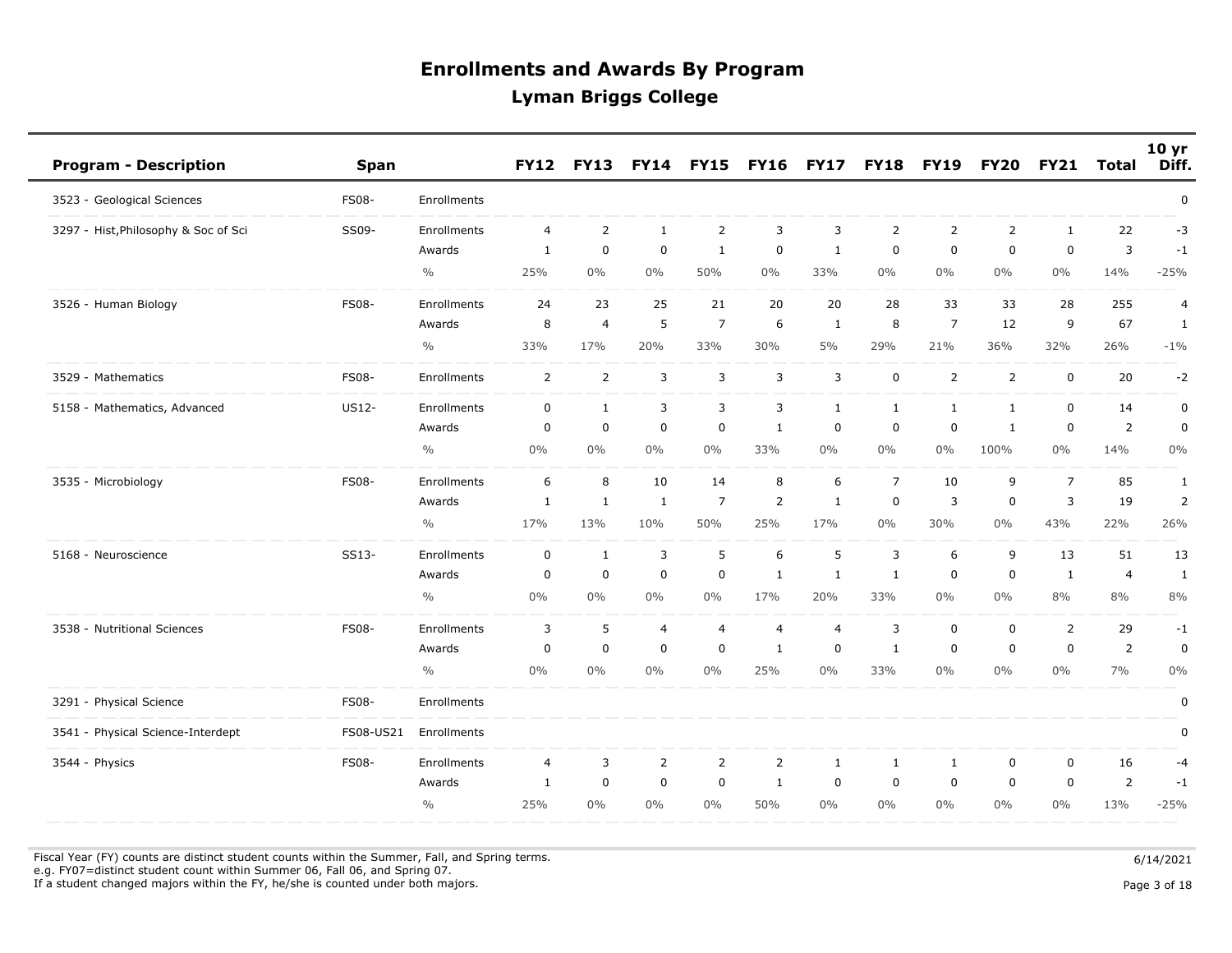| <b>Program - Description</b>         | <b>Span</b>  |               | <b>FY12</b>    | <b>FY13</b>    | <b>FY14</b>    | <b>FY15</b>    | <b>FY16</b>    | <b>FY17</b>    | <b>FY18</b>    | <b>FY19</b>    | <b>FY20</b>    | <b>FY21</b>    | <b>Total</b>             | 10 <sub>yr</sub><br>Diff. |
|--------------------------------------|--------------|---------------|----------------|----------------|----------------|----------------|----------------|----------------|----------------|----------------|----------------|----------------|--------------------------|---------------------------|
| 3523 - Geological Sciences           | <b>FS08-</b> | Enrollments   |                |                |                |                |                |                |                |                |                |                |                          | $\pmb{0}$                 |
| 3297 - Hist, Philosophy & Soc of Sci | SS09-        | Enrollments   | 4              | $\overline{2}$ | $\mathbf{1}$   | $\overline{2}$ | 3              | 3              | $\overline{2}$ | $\overline{2}$ | $\overline{2}$ | 1              | 22                       | -3                        |
|                                      |              | Awards        | 1              | $\mathbf 0$    | $\mathbf 0$    | $\mathbf{1}$   | 0              | $\mathbf{1}$   | $\mathbf 0$    | $\mathbf 0$    | $\mathbf 0$    | 0              | 3                        | $-1$                      |
|                                      |              | $\frac{0}{0}$ | 25%            | $0\%$          | 0%             | 50%            | $0\%$          | 33%            | $0\%$          | $0\%$          | $0\%$          | $0\%$          | 14%                      | $-25%$                    |
| 3526 - Human Biology                 | <b>FS08-</b> | Enrollments   | 24             | 23             | 25             | 21             | 20             | 20             | 28             | 33             | 33             | 28             | 255                      | $\overline{4}$            |
|                                      |              | Awards        | 8              | 4              | 5              | $\overline{7}$ | 6              | $\mathbf{1}$   | 8              | $\overline{7}$ | 12             | 9              | 67                       | 1                         |
|                                      |              | $\frac{0}{0}$ | 33%            | 17%            | 20%            | 33%            | 30%            | $5\%$          | 29%            | 21%            | 36%            | 32%            | 26%                      | $-1\%$                    |
| 3529 - Mathematics                   | <b>FS08-</b> | Enrollments   | 2              | 2              | 3              | 3              | 3              | 3              | $\mathbf 0$    | $\overline{2}$ | $\overline{2}$ | $\mathbf 0$    | 20                       | $-2$                      |
| 5158 - Mathematics, Advanced         | US12-        | Enrollments   | 0              | $\mathbf{1}$   | 3              | 3              | 3              | $\mathbf{1}$   | $\mathbf{1}$   | $\mathbf{1}$   | 1              | $\mathbf 0$    | 14                       | $\pmb{0}$                 |
|                                      |              | Awards        | $\pmb{0}$      | $\mathbf 0$    | $\mathbf 0$    | $\mathbf 0$    | 1              | $\mathbf 0$    | $\mathbf 0$    | $\mathbf 0$    | $\mathbf{1}$   | $\mathbf 0$    | $\overline{2}$           | $\pmb{0}$                 |
|                                      |              | $\frac{0}{0}$ | $0\%$          | $0\%$          | 0%             | $0\%$          | 33%            | $0\%$          | $0\%$          | $0\%$          | 100%           | $0\%$          | 14%                      | 0%                        |
| 3535 - Microbiology                  | <b>FS08-</b> | Enrollments   | 6              | 8              | 10             | 14             | 8              | 6              | $\overline{7}$ | 10             | 9              | $\overline{7}$ | 85                       | $\mathbf{1}$              |
|                                      |              | Awards        | 1              | $\mathbf{1}$   | 1              | $\overline{7}$ | 2              | 1              | $\mathbf 0$    | 3              | $\mathbf 0$    | 3              | 19                       | $\overline{2}$            |
|                                      |              | $\frac{0}{0}$ | 17%            | 13%            | 10%            | 50%            | 25%            | 17%            | 0%             | 30%            | $0\%$          | 43%            | 22%                      | 26%                       |
| 5168 - Neuroscience                  | SS13-        | Enrollments   | $\mathbf 0$    | $\mathbf{1}$   | 3              | 5              | 6              | 5              | 3              | 6              | 9              | 13             | 51                       | 13                        |
|                                      |              | Awards        | 0              | 0              | $\mathbf 0$    | $\pmb{0}$      | $\mathbf{1}$   | 1              | $\mathbf{1}$   | $\pmb{0}$      | $\mathbf 0$    | $\mathbf{1}$   | $\overline{\mathcal{L}}$ | $\mathbf{1}$              |
|                                      |              | $\frac{0}{0}$ | $0\%$          | $0\%$          | 0%             | $0\%$          | 17%            | 20%            | 33%            | $0\%$          | $0\%$          | 8%             | 8%                       | 8%                        |
| 3538 - Nutritional Sciences          | <b>FS08-</b> | Enrollments   | 3              | 5              | $\overline{4}$ | $\overline{4}$ | $\overline{4}$ | $\overline{4}$ | 3              | $\mathbf 0$    | $\mathbf 0$    | 2              | 29                       | $-1$                      |
|                                      |              | Awards        | 0              | $\pmb{0}$      | $\mathbf 0$    | $\mathbf 0$    | $\mathbf{1}$   | 0              | $\mathbf{1}$   | $\mathbf 0$    | $\mathbf 0$    | 0              | $\overline{2}$           | $\mathbf 0$               |
|                                      |              | $\frac{0}{0}$ | $0\%$          | 0%             | 0%             | $0\%$          | 25%            | $0\%$          | 33%            | $0\%$          | $0\%$          | $0\%$          | 7%                       | 0%                        |
| 3291 - Physical Science              | <b>FS08-</b> | Enrollments   |                |                |                |                |                |                |                |                |                |                |                          | 0                         |
| 3541 - Physical Science-Interdept    | FS08-US21    | Enrollments   |                |                |                |                |                |                |                |                |                |                |                          | 0                         |
| 3544 - Physics                       | <b>FS08-</b> | Enrollments   | $\overline{4}$ | 3              | $\overline{2}$ | $\overline{2}$ | $\overline{2}$ | $\mathbf{1}$   | $\mathbf{1}$   | $\mathbf{1}$   | $\mathbf 0$    | $\mathbf 0$    | 16                       | $-4$                      |
|                                      |              | Awards        | 1              | $\mathbf 0$    | $\mathbf 0$    | $\mathbf 0$    | 1              | 0              | 0              | $\mathbf 0$    | 0              | 0              | $\overline{2}$           | $-1$                      |
|                                      |              | $\frac{0}{0}$ | 25%            | $0\%$          | 0%             | $0\%$          | 50%            | $0\%$          | $0\%$          | $0\%$          | $0\%$          | $0\%$          | 13%                      | $-25%$                    |

Fiscal Year (FY) counts are distinct student counts within the Summer, Fall, and Spring terms.  $6/14/2021$ e.g. FY07=distinct student count within Summer 06, Fall 06, and Spring 07.

If a student changed majors within the FY, he/she is counted under both majors. Page 3 of 18

Page 3 of 18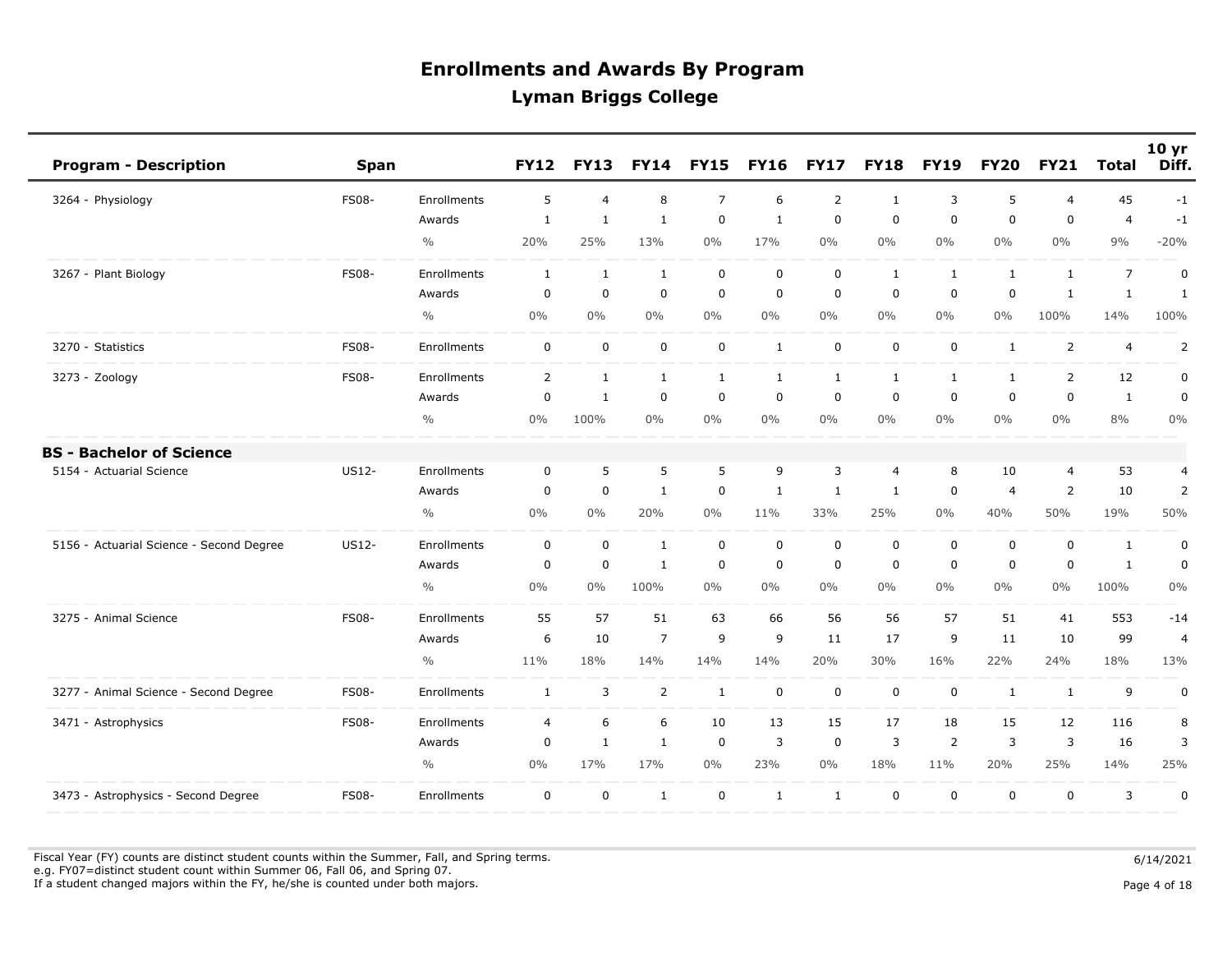| <b>Program - Description</b>             | <b>Span</b>  |               | <b>FY12</b>    | <b>FY13</b>    | <b>FY14</b>    | <b>FY15</b>         | <b>FY16</b>  | <b>FY17</b>    | <b>FY18</b>    | <b>FY19</b>    | <b>FY20</b>    | <b>FY21</b>    | <b>Total</b>   | 10 <sub>yr</sub><br>Diff. |
|------------------------------------------|--------------|---------------|----------------|----------------|----------------|---------------------|--------------|----------------|----------------|----------------|----------------|----------------|----------------|---------------------------|
| 3264 - Physiology                        | <b>FS08-</b> | Enrollments   | 5              | $\overline{4}$ | 8              | $\overline{7}$      | 6            | $\overline{2}$ | $\mathbf{1}$   | 3              | 5              | $\overline{4}$ | 45             | $-1$                      |
|                                          |              | Awards        | 1              | $\mathbf{1}$   | $\mathbf{1}$   | $\mathbf 0$         | $\mathbf{1}$ | $\mathbf 0$    | $\mathbf 0$    | $\overline{0}$ | 0              | $\mathbf 0$    | $\overline{4}$ | $-1$                      |
|                                          |              | $\frac{0}{0}$ | 20%            | 25%            | 13%            | $0\%$               | 17%          | $0\%$          | $0\%$          | $0\%$          | $0\%$          | $0\%$          | 9%             | $-20%$                    |
| 3267 - Plant Biology                     | <b>FS08-</b> | Enrollments   | $\mathbf{1}$   | $\mathbf{1}$   | $\mathbf{1}$   | $\mathbf 0$         | $\mathbf 0$  | $\mathbf 0$    | $\mathbf{1}$   | $\mathbf{1}$   | $\mathbf{1}$   | $\mathbf{1}$   | $\overline{7}$ | $\mathbf 0$               |
|                                          |              | Awards        | $\mathbf 0$    | $\mathbf 0$    | $\mathbf 0$    | $\mathbf 0$         | $\mathbf 0$  | $\mathbf 0$    | $\mathbf 0$    | $\mathbf 0$    | 0              | $\mathbf{1}$   | $\mathbf{1}$   | $\mathbf{1}$              |
|                                          |              | $\frac{0}{0}$ | 0%             | $0\%$          | $0\%$          | $0\%$               | $0\%$        | $0\%$          | $0\%$          | $0\%$          | $0\%$          | 100%           | 14%            | 100%                      |
| 3270 - Statistics                        | <b>FS08-</b> | Enrollments   | $\mathbf 0$    | $\mathbf 0$    | $\mathbf 0$    | $\mathsf{O}\xspace$ | $\mathbf{1}$ | $\mathsf 0$    | $\mathbf 0$    | $\mathbf 0$    | $\mathbf{1}$   | $\overline{2}$ | 4              | $\overline{2}$            |
| 3273 - Zoology                           | <b>FS08-</b> | Enrollments   | $\overline{2}$ | $\mathbf{1}$   | $\mathbf{1}$   | $\mathbf{1}$        | $\mathbf{1}$ | $\mathbf{1}$   | $\mathbf{1}$   | 1              | $\mathbf{1}$   | $\overline{2}$ | 12             | $\mathbf 0$               |
|                                          |              | Awards        | $\mathbf 0$    | $\mathbf{1}$   | $\mathbf 0$    | $\mathbf 0$         | $\mathbf 0$  | $\mathbf 0$    | $\mathbf 0$    | $\mathbf 0$    | 0              | 0              | $\mathbf{1}$   | $\pmb{0}$                 |
|                                          |              | $\frac{0}{0}$ | 0%             | 100%           | $0\%$          | $0\%$               | $0\%$        | $0\%$          | $0\%$          | $0\%$          | $0\%$          | $0\%$          | 8%             | $0\%$                     |
| <b>BS - Bachelor of Science</b>          |              |               |                |                |                |                     |              |                |                |                |                |                |                |                           |
| 5154 - Actuarial Science                 | US12-        | Enrollments   | $\mathbf 0$    | 5              | 5              | 5                   | 9            | 3              | $\overline{4}$ | 8              | 10             | $\overline{4}$ | 53             | 4                         |
|                                          |              | Awards        | $\mathbf 0$    | $\mathbf 0$    | $\mathbf{1}$   | $\mathsf 0$         | $\mathbf{1}$ | $\mathbf{1}$   | $\mathbf{1}$   | $\mathbf 0$    | $\overline{4}$ | 2              | 10             | $\overline{2}$            |
|                                          |              | $\frac{0}{0}$ | 0%             | $0\%$          | 20%            | $0\%$               | 11%          | 33%            | 25%            | $0\%$          | 40%            | 50%            | 19%            | 50%                       |
| 5156 - Actuarial Science - Second Degree | US12-        | Enrollments   | $\mathbf 0$    | $\mathbf 0$    | $\mathbf{1}$   | $\mathbf 0$         | $\mathbf 0$  | $\mathbf 0$    | $\mathbf 0$    | $\mathbf 0$    | $\mathbf 0$    | $\mathbf 0$    | $\mathbf{1}$   | $\mathbf 0$               |
|                                          |              | Awards        | $\mathbf 0$    | $\mathbf 0$    | $\mathbf{1}$   | $\mathbf 0$         | $\mathbf 0$  | $\mathbf 0$    | $\mathbf 0$    | $\overline{0}$ | $\mathbf 0$    | $\mathbf 0$    | $\mathbf{1}$   | $\mathbf 0$               |
|                                          |              | $\frac{0}{0}$ | 0%             | $0\%$          | 100%           | $0\%$               | $0\%$        | $0\%$          | $0\%$          | $0\%$          | $0\%$          | $0\%$          | 100%           | 0%                        |
| 3275 - Animal Science                    | <b>FS08-</b> | Enrollments   | 55             | 57             | 51             | 63                  | 66           | 56             | 56             | 57             | 51             | 41             | 553            | $-14$                     |
|                                          |              | Awards        | 6              | 10             | $\overline{7}$ | 9                   | 9            | 11             | 17             | 9              | 11             | 10             | 99             | $\overline{4}$            |
|                                          |              | $\frac{0}{0}$ | 11%            | 18%            | 14%            | 14%                 | 14%          | 20%            | 30%            | 16%            | 22%            | 24%            | 18%            | 13%                       |
| 3277 - Animal Science - Second Degree    | <b>FS08-</b> | Enrollments   | $\mathbf{1}$   | 3              | $\overline{2}$ | $\mathbf{1}$        | $\mathbf 0$  | $\mathbf 0$    | $\mathbf 0$    | $\mathbf 0$    | $\mathbf{1}$   | $\mathbf{1}$   | 9              | $\pmb{0}$                 |
| 3471 - Astrophysics                      | <b>FS08-</b> | Enrollments   | $\overline{4}$ | 6              | 6              | 10                  | 13           | 15             | 17             | 18             | 15             | 12             | 116            | 8                         |
|                                          |              | Awards        | $\Omega$       | $\mathbf{1}$   | $\mathbf{1}$   | $\mathbf 0$         | 3            | $\mathbf 0$    | 3              | 2              | 3              | 3              | 16             | 3                         |
|                                          |              | $\frac{0}{0}$ | 0%             | 17%            | 17%            | $0\%$               | 23%          | $0\%$          | 18%            | 11%            | 20%            | 25%            | 14%            | 25%                       |
| 3473 - Astrophysics - Second Degree      | <b>FS08-</b> | Enrollments   | $\Omega$       | $\mathbf 0$    | $\mathbf{1}$   | $\mathbf 0$         | $\mathbf{1}$ | $\mathbf{1}$   | $\mathbf 0$    | $\mathbf 0$    | $\mathbf 0$    | $\mathbf 0$    | 3              | $\pmb{0}$                 |

Fiscal Year (FY) counts are distinct student counts within the Summer, Fall, and Spring terms.  $6/14/2021$ e.g. FY07=distinct student count within Summer 06, Fall 06, and Spring 07.

If a student changed majors within the FY, he/she is counted under both majors. Page 4 of 18

Page 4 of 18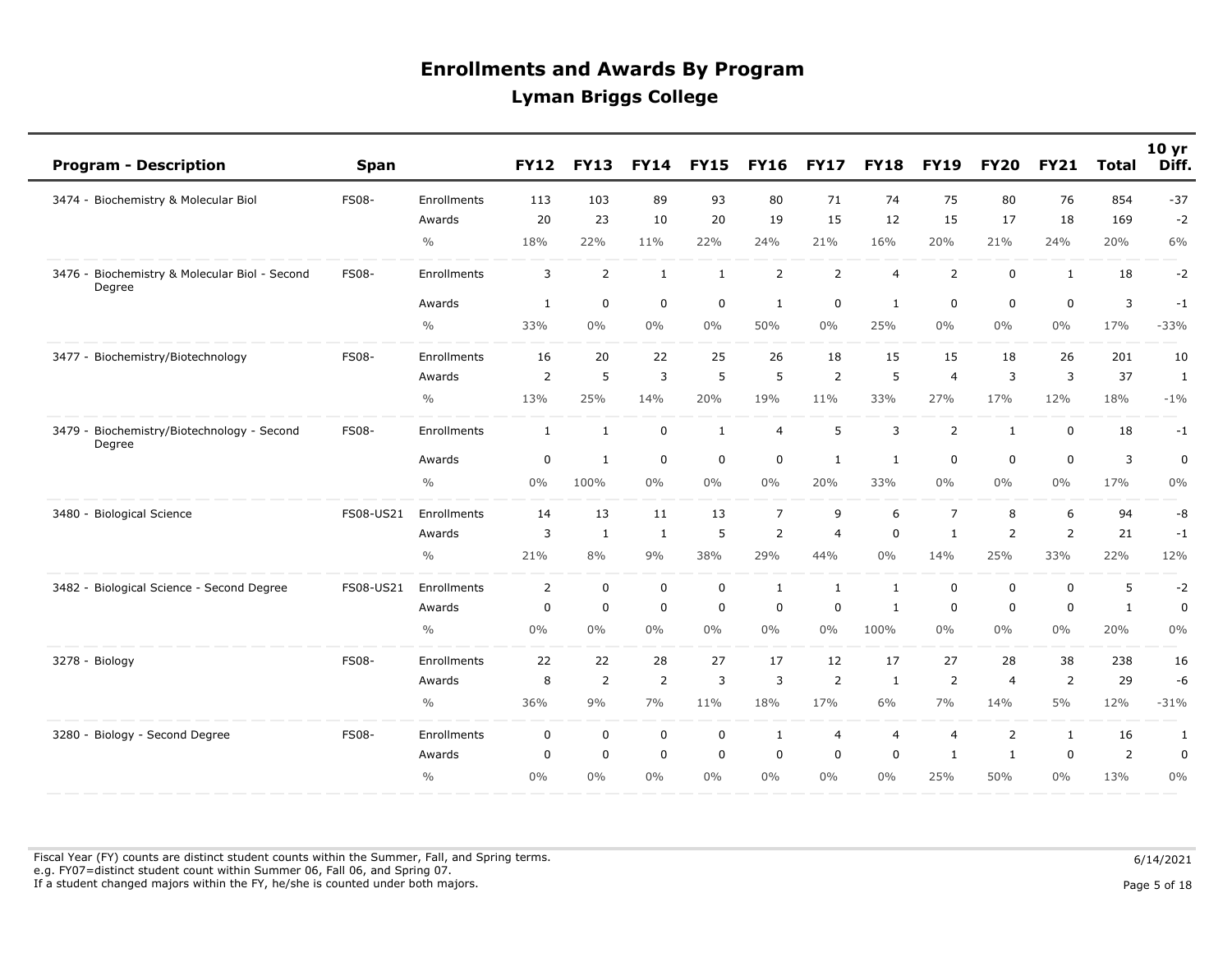| <b>Program - Description</b>                            | <b>Span</b>  |                    | <b>FY12</b>  | <b>FY13</b>    | <b>FY14</b>    | <b>FY15</b>  | <b>FY16</b>    | <b>FY17</b>    | <b>FY18</b>    | <b>FY19</b>    | <b>FY20</b>    | <b>FY21</b>  | <b>Total</b>   | 10 <sub>yr</sub><br>Diff. |
|---------------------------------------------------------|--------------|--------------------|--------------|----------------|----------------|--------------|----------------|----------------|----------------|----------------|----------------|--------------|----------------|---------------------------|
| 3474 - Biochemistry & Molecular Biol                    | <b>FS08-</b> | Enrollments        | 113          | 103            | 89             | 93           | 80             | 71             | 74             | 75             | 80             | 76           | 854            | $-37$                     |
|                                                         |              | Awards             | 20           | 23             | 10             | 20           | 19             | 15             | 12             | 15             | 17             | 18           | 169            | $-2$                      |
|                                                         |              | $\frac{0}{0}$      | 18%          | 22%            | 11%            | 22%          | 24%            | 21%            | 16%            | 20%            | 21%            | 24%          | 20%            | 6%                        |
| 3476 - Biochemistry & Molecular Biol - Second<br>Degree | <b>FS08-</b> | Enrollments        | 3            | $\overline{2}$ | $\mathbf{1}$   | $\mathbf{1}$ | $\overline{2}$ | $\overline{2}$ | $\overline{4}$ | $\overline{2}$ | $\mathbf 0$    | $\mathbf{1}$ | 18             | $-2$                      |
|                                                         |              | Awards             | 1            | 0              | 0              | $\mathbf 0$  | 1              | 0              | 1              | 0              | 0              | 0            | 3              | $-1$                      |
|                                                         |              | $\frac{0}{0}$      | 33%          | $0\%$          | $0\%$          | $0\%$        | 50%            | $0\%$          | 25%            | $0\%$          | $0\%$          | $0\%$        | 17%            | $-33%$                    |
| 3477 - Biochemistry/Biotechnology                       | FS08-        | Enrollments        | 16           | 20             | 22             | 25           | 26             | 18             | 15             | 15             | 18             | 26           | 201            | 10                        |
|                                                         |              | Awards             | 2            | 5              | 3              | 5            | 5              | $\overline{2}$ | 5              | $\overline{4}$ | 3              | 3            | 37             | $\mathbf{1}$              |
|                                                         |              | $\frac{0}{0}$      | 13%          | 25%            | 14%            | 20%          | 19%            | 11%            | 33%            | 27%            | 17%            | 12%          | 18%            | $-1\%$                    |
| - Biochemistry/Biotechnology - Second<br>3479<br>Degree | <b>FS08-</b> | Enrollments        | $\mathbf{1}$ | 1              | $\mathbf 0$    | 1            | 4              | 5              | 3              | $\overline{2}$ | $\mathbf{1}$   | 0            | 18             | $-1$                      |
|                                                         |              | Awards             | $\mathbf 0$  | $\mathbf{1}$   | $\mathbf 0$    | $\mathbf 0$  | $\mathbf 0$    | $\mathbf{1}$   | $\mathbf{1}$   | $\mathbf 0$    | $\mathbf 0$    | $\mathbf 0$  | 3              | 0                         |
|                                                         |              | $\frac{0}{0}$      | 0%           | 100%           | 0%             | $0\%$        | $0\%$          | 20%            | 33%            | $0\%$          | $0\%$          | $0\%$        | 17%            | $0\%$                     |
| 3480 - Biological Science                               | FS08-US21    | Enrollments        | 14           | 13             | 11             | 13           | $\overline{7}$ | 9              | 6              | $\overline{7}$ | 8              | 6            | 94             | -8                        |
|                                                         |              | Awards             | 3            | $\mathbf{1}$   | $\mathbf{1}$   | 5            | $\overline{2}$ | $\overline{4}$ | $\mathbf 0$    | $\mathbf{1}$   | $\overline{2}$ | 2            | 21             | $-1$                      |
|                                                         |              | $\frac{0}{0}$      | 21%          | 8%             | 9%             | 38%          | 29%            | 44%            | $0\%$          | 14%            | 25%            | 33%          | 22%            | 12%                       |
| 3482 - Biological Science - Second Degree               | FS08-US21    | Enrollments        | 2            | $\mathbf 0$    | $\mathbf 0$    | $\mathbf 0$  | 1              | $\mathbf{1}$   | $\mathbf{1}$   | $\mathbf 0$    | $\mathbf 0$    | $\mathbf 0$  | 5              | $-2$                      |
|                                                         |              | Awards             | $\mathbf 0$  | $\mathbf 0$    | $\mathbf 0$    | $\mathbf 0$  | $\mathbf 0$    | $\mathbf 0$    | $\mathbf{1}$   | $\mathbf 0$    | $\mathbf 0$    | $\mathbf 0$  | $\mathbf{1}$   | $\pmb{0}$                 |
|                                                         |              | $\frac{0}{0}$      | 0%           | 0%             | 0%             | $0\%$        | $0\%$          | $0\%$          | 100%           | $0\%$          | $0\%$          | $0\%$        | 20%            | $0\%$                     |
| 3278 - Biology                                          | <b>FS08-</b> | <b>Enrollments</b> | 22           | 22             | 28             | 27           | 17             | 12             | 17             | 27             | 28             | 38           | 238            | 16                        |
|                                                         |              | Awards             | 8            | $\overline{2}$ | $\overline{2}$ | 3            | 3              | 2              | $\mathbf{1}$   | $\overline{2}$ | $\overline{4}$ | 2            | 29             | -6                        |
|                                                         |              | $\frac{0}{0}$      | 36%          | 9%             | 7%             | 11%          | 18%            | 17%            | 6%             | 7%             | 14%            | 5%           | 12%            | $-31%$                    |
| 3280 - Biology - Second Degree                          | <b>FS08-</b> | Enrollments        | $\mathbf 0$  | $\mathbf 0$    | $\mathbf 0$    | $\mathbf 0$  | 1              | $\overline{4}$ | $\overline{4}$ | $\overline{4}$ | $\overline{2}$ | $\mathbf{1}$ | 16             | 1                         |
|                                                         |              | Awards             | $\Omega$     | $\mathbf 0$    | 0              | $\mathbf 0$  | $\mathbf 0$    | $\mathbf 0$    | $\mathbf 0$    | $\mathbf{1}$   | $\mathbf{1}$   | $\mathbf 0$  | $\overline{2}$ | $\pmb{0}$                 |
|                                                         |              | $\frac{0}{0}$      | 0%           | 0%             | $0\%$          | $0\%$        | 0%             | $0\%$          | $0\%$          | 25%            | 50%            | $0\%$        | 13%            | 0%                        |

Fiscal Year (FY) counts are distinct student counts within the Summer, Fall, and Spring terms.  $6/14/2021$  e.g. FY07=distinct student count within Summer 06, Fall 06, and Spring 07. If a student changed majors within the FY, he/she is counted under both majors. Page 5 of 18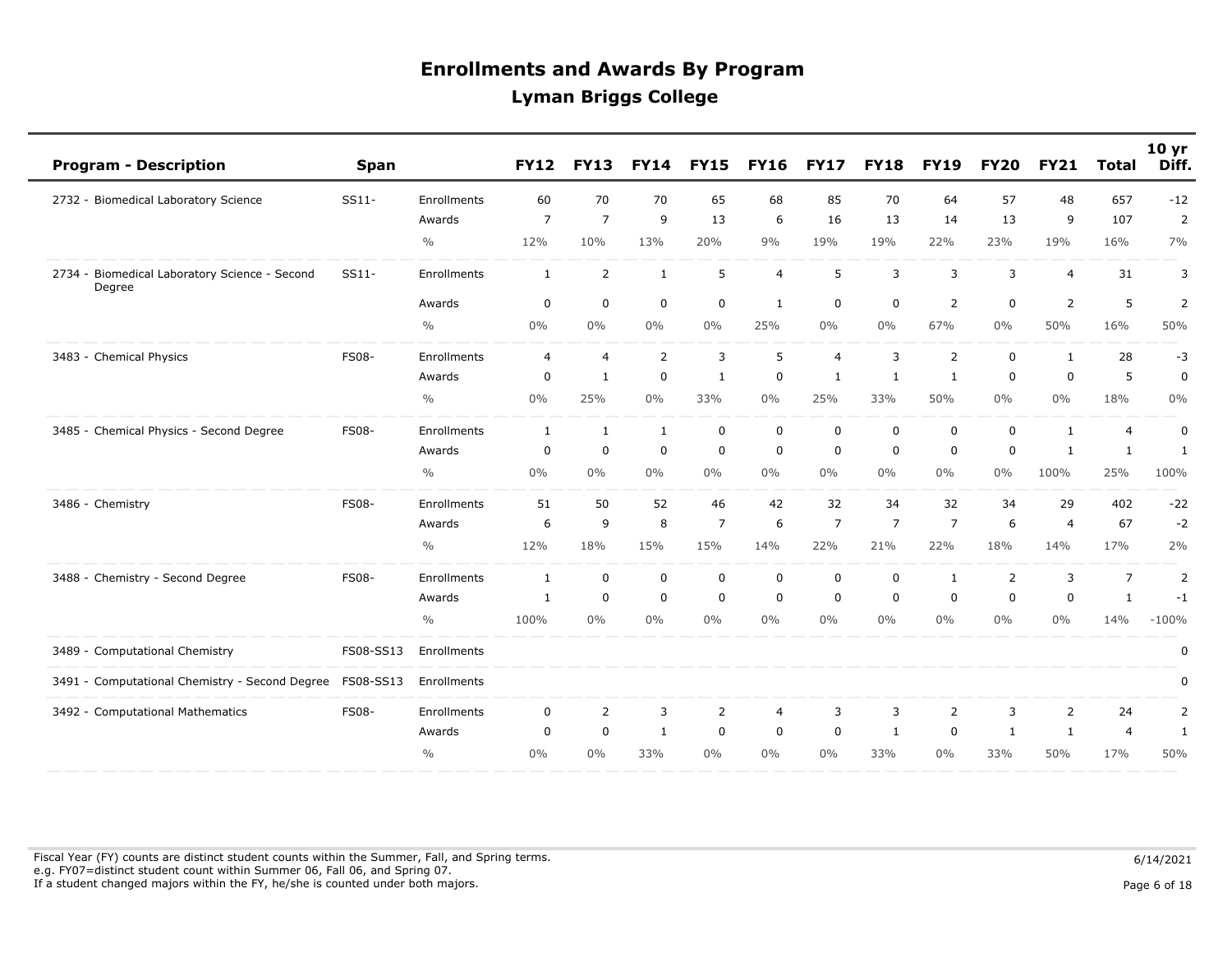| <b>Program - Description</b>                            | <b>Span</b>  |               | <b>FY12</b>    | <b>FY13</b>    | <b>FY14</b>    | <b>FY15</b>    | <b>FY16</b>    | <b>FY17</b>    | <b>FY18</b>    | <b>FY19</b>    | <b>FY20</b> | <b>FY21</b>    | <b>Total</b>   | 10 <sub>yr</sub><br>Diff. |
|---------------------------------------------------------|--------------|---------------|----------------|----------------|----------------|----------------|----------------|----------------|----------------|----------------|-------------|----------------|----------------|---------------------------|
| 2732 - Biomedical Laboratory Science                    | $SS11-$      | Enrollments   | 60             | 70             | 70             | 65             | 68             | 85             | 70             | 64             | 57          | 48             | 657            | $-12$                     |
|                                                         |              | Awards        | $\overline{7}$ | $\overline{7}$ | 9              | 13             | 6              | 16             | 13             | 14             | 13          | 9              | 107            | 2                         |
|                                                         |              | $\frac{0}{0}$ | 12%            | 10%            | 13%            | 20%            | 9%             | 19%            | 19%            | 22%            | 23%         | 19%            | 16%            | 7%                        |
| 2734 - Biomedical Laboratory Science - Second<br>Degree | SS11-        | Enrollments   | $\mathbf{1}$   | $\overline{2}$ | $\mathbf{1}$   | 5              | $\overline{4}$ | 5              | 3              | 3              | 3           | $\overline{4}$ | 31             | 3                         |
|                                                         |              | Awards        | 0              | 0              | $\mathbf 0$    | $\pmb{0}$      | 1              | $\mathbf 0$    | $\mathsf 0$    | $\overline{2}$ | $\mathbf 0$ | 2              | 5              | $\overline{2}$            |
|                                                         |              | $\frac{0}{0}$ | $0\%$          | $0\%$          | 0%             | $0\%$          | 25%            | $0\%$          | $0\%$          | 67%            | $0\%$       | 50%            | 16%            | 50%                       |
| 3483 - Chemical Physics                                 | <b>FS08-</b> | Enrollments   | 4              | 4              | $\overline{2}$ | 3              | 5              | $\overline{4}$ | 3              | $\overline{2}$ | $\mathbf 0$ | 1              | 28             | -3                        |
|                                                         |              | Awards        | 0              | 1              | $\mathbf 0$    | 1              | 0              | 1              | 1              | $\mathbf{1}$   | 0           | 0              | 5              | $\mathbf 0$               |
|                                                         |              | $\frac{0}{0}$ | $0\%$          | 25%            | 0%             | 33%            | 0%             | 25%            | 33%            | 50%            | $0\%$       | $0\%$          | 18%            | 0%                        |
| 3485 - Chemical Physics - Second Degree                 | <b>FS08-</b> | Enrollments   | $\mathbf{1}$   | $\mathbf{1}$   | $\mathbf{1}$   | $\pmb{0}$      | $\mathbf 0$    | $\mathbf 0$    | $\mathbf 0$    | $\mathbf 0$    | $\mathbf 0$ | $\mathbf{1}$   | $\overline{4}$ | $\pmb{0}$                 |
|                                                         |              | Awards        | 0              | $\mathbf 0$    | $\mathbf 0$    | $\mathbf 0$    | $\mathbf 0$    | $\mathbf 0$    | $\mathbf 0$    | $\mathbf 0$    | $\mathbf 0$ | 1              | 1              | 1                         |
|                                                         |              | $\frac{0}{0}$ | $0\%$          | $0\%$          | $0\%$          | $0\%$          | 0%             | $0\%$          | $0\%$          | $0\%$          | $0\%$       | 100%           | 25%            | 100%                      |
| 3486 - Chemistry                                        | <b>FS08-</b> | Enrollments   | 51             | 50             | 52             | 46             | 42             | 32             | 34             | 32             | 34          | 29             | 402            | $-22$                     |
|                                                         |              | Awards        | 6              | 9              | 8              | $\overline{7}$ | 6              | $\overline{7}$ | $\overline{7}$ | $\overline{7}$ | 6           | $\overline{4}$ | 67             | $-2$                      |
|                                                         |              | $\frac{0}{0}$ | 12%            | 18%            | 15%            | 15%            | 14%            | 22%            | 21%            | 22%            | 18%         | 14%            | 17%            | 2%                        |
| 3488 - Chemistry - Second Degree                        | <b>FS08-</b> | Enrollments   | $\mathbf{1}$   | 0              | $\mathbf 0$    | 0              | 0              | 0              | $\mathbf 0$    | 1              | 2           | 3              | $\overline{7}$ | 2                         |
|                                                         |              | Awards        | $\mathbf{1}$   | $\mathbf 0$    | $\mathbf 0$    | $\mathbf 0$    | $\mathbf 0$    | 0              | $\mathbf 0$    | $\mathbf 0$    | $\mathbf 0$ | $\mathbf 0$    | $\mathbf{1}$   | $-1$                      |
|                                                         |              | $\frac{0}{0}$ | 100%           | 0%             | 0%             | $0\%$          | $0\%$          | $0\%$          | $0\%$          | $0\%$          | $0\%$       | $0\%$          | 14%            | $-100%$                   |
| 3489 - Computational Chemistry                          | FS08-SS13    | Enrollments   |                |                |                |                |                |                |                |                |             |                |                | 0                         |
| 3491 - Computational Chemistry - Second Degree          | FS08-SS13    | Enrollments   |                |                |                |                |                |                |                |                |             |                |                | 0                         |
| 3492 - Computational Mathematics                        | <b>FS08-</b> | Enrollments   | 0              | $\overline{2}$ | 3              | 2              | $\overline{4}$ | 3              | 3              | $\overline{2}$ | 3           | 2              | 24             | $\overline{2}$            |
|                                                         |              | Awards        | $\mathbf 0$    | $\mathbf 0$    | 1              | $\mathbf 0$    | $\mathbf 0$    | $\mathbf 0$    | 1              | $\mathbf 0$    | 1           | 1              | $\overline{4}$ | 1                         |
|                                                         |              | $\frac{0}{0}$ | $0\%$          | 0%             | 33%            | 0%             | 0%             | $0\%$          | 33%            | $0\%$          | 33%         | 50%            | 17%            | 50%                       |

Fiscal Year (FY) counts are distinct student counts within the Summer, Fall, and Spring terms.  $6/14/2021$  e.g. FY07=distinct student count within Summer 06, Fall 06, and Spring 07. If a student changed majors within the FY, he/she is counted under both majors. Page 6 of 18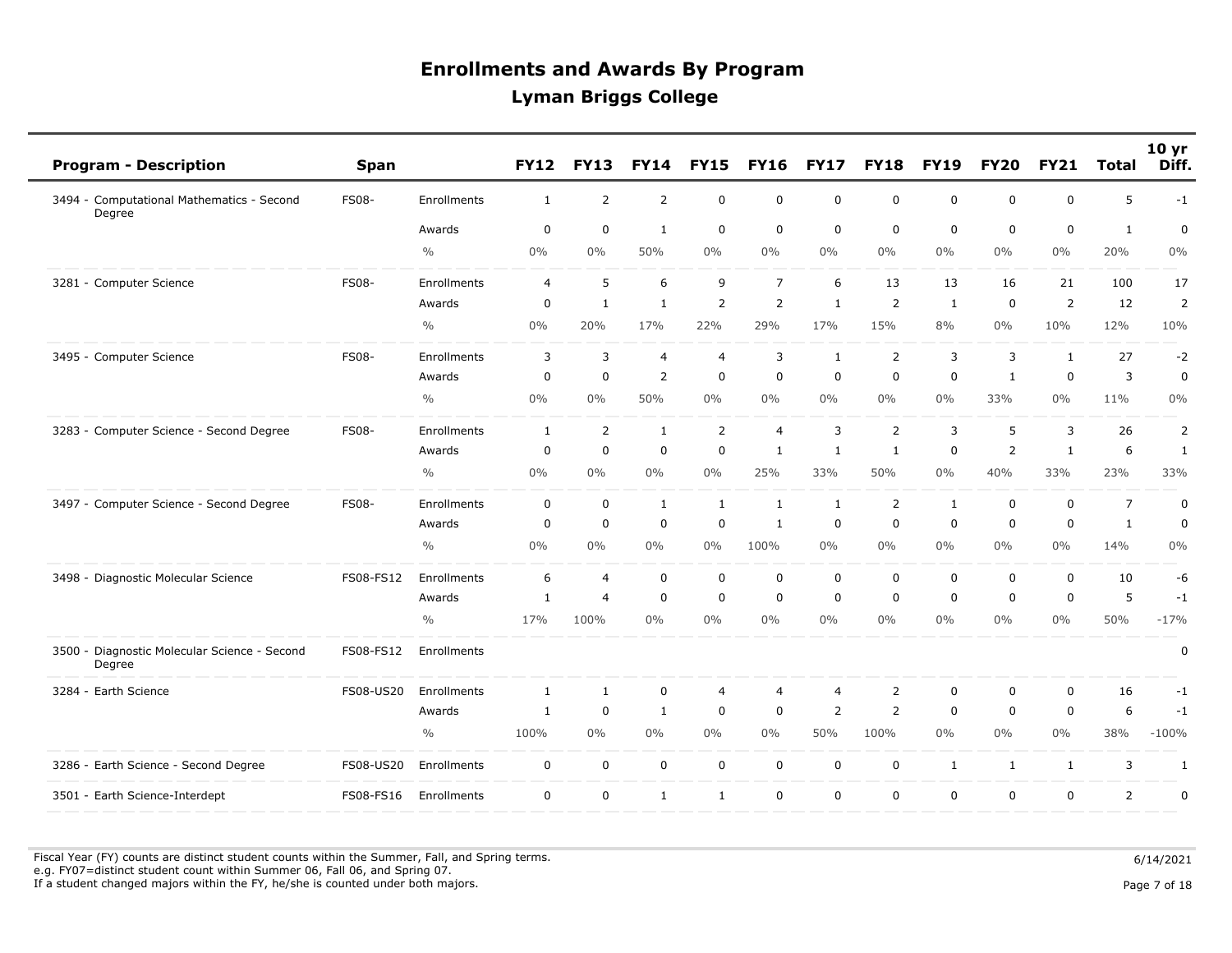| <b>Program - Description</b>                           | Span         |               | <b>FY12</b>    | <b>FY13</b>    | <b>FY14</b>    | <b>FY15</b>    | <b>FY16</b>    | <b>FY17</b>    | <b>FY18</b>      | <b>FY19</b>  | <b>FY20</b>    | <b>FY21</b>  | <b>Total</b>   | 10 <sub>yr</sub><br>Diff. |
|--------------------------------------------------------|--------------|---------------|----------------|----------------|----------------|----------------|----------------|----------------|------------------|--------------|----------------|--------------|----------------|---------------------------|
| 3494 - Computational Mathematics - Second              | <b>FS08-</b> | Enrollments   | 1              | 2              | $\overline{2}$ | $\mathsf 0$    | $\mathbf 0$    | $\mathsf 0$    | $\mathbf 0$      | $\mathbf 0$  | 0              | $\mathbf 0$  | 5              | $-1$                      |
| Degree                                                 |              | Awards        | $\mathbf 0$    | $\pmb{0}$      | $\mathbf{1}$   | $\mathbf 0$    | $\mathbf 0$    | $\mathbf 0$    | 0                | $\mathbf 0$  | $\mathbf 0$    | $\mathbf 0$  | $\mathbf{1}$   | $\pmb{0}$                 |
|                                                        |              | $\frac{0}{0}$ | 0%             | 0%             | 50%            | $0\%$          | $0\%$          | $0\%$          | $0\%$            | $0\%$        | $0\%$          | $0\%$        | 20%            | $0\%$                     |
| 3281 - Computer Science                                | <b>FS08-</b> | Enrollments   | $\overline{4}$ | 5              | 6              | 9              | $\overline{7}$ | 6              | 13               | 13           | 16             | 21           | 100            | 17                        |
|                                                        |              | Awards        | $\mathbf 0$    | $\mathbf{1}$   | $\mathbf{1}$   | $\overline{2}$ | $\overline{2}$ | $\mathbf{1}$   | $\overline{2}$   | $\mathbf{1}$ | $\mathbf 0$    | 2            | 12             | $\overline{2}$            |
|                                                        |              | $\frac{0}{0}$ | 0%             | 20%            | 17%            | 22%            | 29%            | 17%            | 15%              | 8%           | $0\%$          | 10%          | 12%            | 10%                       |
| 3495 - Computer Science                                | <b>FS08-</b> | Enrollments   | 3              | 3              | 4              | $\overline{4}$ | 3              | $\mathbf{1}$   | 2                | 3            | 3              | $\mathbf{1}$ | 27             | $-2$                      |
|                                                        |              | Awards        | $\mathbf 0$    | $\pmb{0}$      | $\overline{2}$ | $\mathsf 0$    | $\mathbf 0$    | $\mathbf 0$    | $\boldsymbol{0}$ | $\mathbf 0$  | 1              | $\mathbf 0$  | 3              | $\pmb{0}$                 |
|                                                        |              | $\frac{0}{0}$ | 0%             | 0%             | 50%            | $0\%$          | $0\%$          | $0\%$          | $0\%$            | $0\%$        | 33%            | $0\%$        | 11%            | 0%                        |
| 3283 - Computer Science - Second Degree                | <b>FS08-</b> | Enrollments   | $\mathbf{1}$   | 2              | $\mathbf{1}$   | $\overline{2}$ | $\overline{4}$ | 3              | $\overline{2}$   | 3            | 5              | 3            | 26             | $\overline{2}$            |
|                                                        |              | Awards        | $\mathbf 0$    | $\mathbf 0$    | $\mathbf 0$    | $\mathsf 0$    | 1              | $\mathbf{1}$   | $\mathbf{1}$     | $\mathbf 0$  | $\overline{2}$ | $\mathbf{1}$ | 6              | $\mathbf{1}$              |
|                                                        |              | $\frac{0}{0}$ | 0%             | 0%             | $0\%$          | $0\%$          | 25%            | 33%            | 50%              | $0\%$        | 40%            | 33%          | 23%            | 33%                       |
| 3497 - Computer Science - Second Degree                | <b>FS08-</b> | Enrollments   | $\mathbf 0$    | $\mathbf 0$    | $\mathbf{1}$   | $\mathbf{1}$   | $\mathbf{1}$   | $\mathbf{1}$   | 2                | $\mathbf{1}$ | $\mathbf 0$    | $\mathbf 0$  | $\overline{7}$ | $\pmb{0}$                 |
|                                                        |              | Awards        | $\mathbf 0$    | $\mathbf 0$    | $\mathbf 0$    | $\mathbf 0$    | 1              | $\mathbf 0$    | 0                | $\mathbf 0$  | $\mathbf 0$    | $\mathbf 0$  | $\mathbf{1}$   | $\mathbf 0$               |
|                                                        |              | $\frac{0}{0}$ | 0%             | $0\%$          | $0\%$          | $0\%$          | 100%           | $0\%$          | $0\%$            | $0\%$        | $0\%$          | $0\%$        | 14%            | $0\%$                     |
| 3498 - Diagnostic Molecular Science                    | FS08-FS12    | Enrollments   | 6              | $\overline{4}$ | $\mathbf 0$    | $\mathbf 0$    | $\mathbf 0$    | $\mathbf 0$    | $\mathbf 0$      | $\mathbf 0$  | $\mathbf 0$    | $\mathsf 0$  | 10             | -6                        |
|                                                        |              | Awards        | $\mathbf{1}$   | $\overline{4}$ | $\mathbf 0$    | $\mathbf 0$    | $\mathbf 0$    | $\mathbf 0$    | $\mathbf 0$      | $\mathbf 0$  | $\mathbf 0$    | $\mathbf 0$  | 5              | $-1$                      |
|                                                        |              | $\frac{0}{0}$ | 17%            | 100%           | $0\%$          | $0\%$          | $0\%$          | $0\%$          | $0\%$            | $0\%$        | $0\%$          | $0\%$        | 50%            | $-17%$                    |
| 3500 - Diagnostic Molecular Science - Second<br>Degree | FS08-FS12    | Enrollments   |                |                |                |                |                |                |                  |              |                |              |                | $\pmb{0}$                 |
| 3284 - Earth Science                                   | FS08-US20    | Enrollments   | 1              | 1              | $\mathbf 0$    | $\overline{4}$ | 4              | $\overline{4}$ | 2                | $\mathbf 0$  | $\mathbf 0$    | $\mathbf 0$  | 16             | $-1$                      |
|                                                        |              | Awards        | 1              | $\mathbf 0$    | $\mathbf{1}$   | $\mathbf 0$    | $\mathbf 0$    | $\overline{2}$ | $\overline{2}$   | $\mathbf 0$  | $\mathbf 0$    | 0            | 6              | $-1$                      |
|                                                        |              | $\frac{0}{0}$ | 100%           | $0\%$          | $0\%$          | $0\%$          | $0\%$          | 50%            | 100%             | $0\%$        | $0\%$          | $0\%$        | 38%            | $-100%$                   |
| 3286 - Earth Science - Second Degree                   | FS08-US20    | Enrollments   | $\mathbf 0$    | $\mathbf 0$    | $\mathbf 0$    | $\mathsf{O}$   | $\mathbf 0$    | $\mathbf 0$    | $\mathbf 0$      | $\mathbf{1}$ | 1              | $\mathbf{1}$ | 3              | 1                         |
| 3501 - Earth Science-Interdept                         | FS08-FS16    | Enrollments   | $\Omega$       | $\mathbf 0$    | $\mathbf{1}$   | $\mathbf{1}$   | $\mathbf 0$    | $\mathbf 0$    | $\mathbf 0$      | $\mathbf 0$  | $\mathbf 0$    | $\Omega$     | $\overline{2}$ | $\pmb{0}$                 |

Fiscal Year (FY) counts are distinct student counts within the Summer, Fall, and Spring terms.  $6/14/2021$  e.g. FY07=distinct student count within Summer 06, Fall 06, and Spring 07. If a student changed majors within the FY, he/she is counted under both majors. Page 7 of 18

Page 7 of 18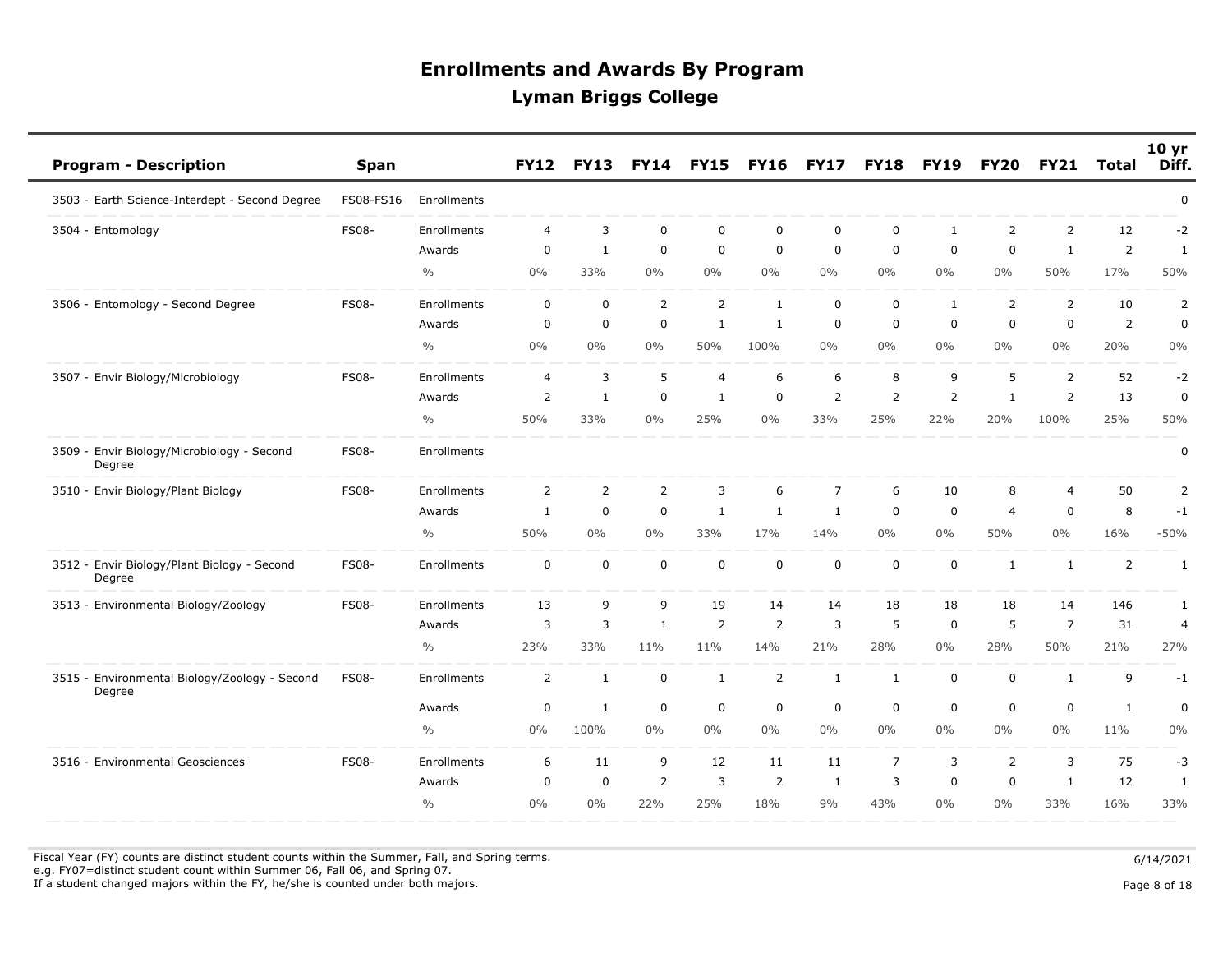| <b>Program - Description</b>                            | <b>Span</b>  |               | <b>FY12</b>    | <b>FY13</b>  | <b>FY14</b>    | <b>FY15</b>    | <b>FY16</b>    | <b>FY17</b>    | <b>FY18</b>    | <b>FY19</b>    | <b>FY20</b>    | <b>FY21</b>    | Total          | 10 <sub>yr</sub><br>Diff. |
|---------------------------------------------------------|--------------|---------------|----------------|--------------|----------------|----------------|----------------|----------------|----------------|----------------|----------------|----------------|----------------|---------------------------|
| 3503 - Earth Science-Interdept - Second Degree          | FS08-FS16    | Enrollments   |                |              |                |                |                |                |                |                |                |                |                | $\pmb{0}$                 |
| 3504 - Entomology                                       | <b>FS08-</b> | Enrollments   | $\overline{4}$ | 3            | 0              | $\mathbf 0$    | $\mathbf 0$    | $\mathbf 0$    | 0              | $\mathbf{1}$   | $\overline{2}$ | 2              | 12             | $-2$                      |
|                                                         |              | Awards        | $\mathbf 0$    | $\mathbf{1}$ | $\mathbf 0$    | $\mathbf 0$    | 0              | $\mathbf 0$    | $\mathbf 0$    | $\mathbf 0$    | 0              | $\mathbf{1}$   | $\overline{2}$ | 1                         |
|                                                         |              | $\frac{0}{0}$ | $0\%$          | 33%          | 0%             | $0\%$          | 0%             | 0%             | $0\%$          | $0\%$          | $0\%$          | 50%            | 17%            | 50%                       |
| 3506 - Entomology - Second Degree                       | <b>FS08-</b> | Enrollments   | $\mathbf 0$    | $\mathbf 0$  | 2              | 2              | $\mathbf{1}$   | $\mathbf 0$    | $\mathbf 0$    | $\mathbf{1}$   | 2              | 2              | 10             | 2                         |
|                                                         |              | Awards        | 0              | 0            | 0              | 1              | 1              | $\mathbf 0$    | 0              | $\mathbf 0$    | 0              | 0              | $\overline{2}$ | $\pmb{0}$                 |
|                                                         |              | $\frac{0}{0}$ | $0\%$          | $0\%$        | $0\%$          | 50%            | 100%           | 0%             | $0\%$          | $0\%$          | $0\%$          | $0\%$          | 20%            | $0\%$                     |
| 3507 - Envir Biology/Microbiology                       | <b>FS08-</b> | Enrollments   | 4              | 3            | 5              | $\overline{4}$ | 6              | 6              | 8              | 9              | 5              | $\overline{2}$ | 52             | $-2$                      |
|                                                         |              | Awards        | $\overline{2}$ | $\mathbf{1}$ | 0              | 1              | $\mathbf 0$    | $\overline{2}$ | 2              | $\overline{2}$ | $\mathbf{1}$   | 2              | 13             | $\pmb{0}$                 |
|                                                         |              | $\frac{0}{0}$ | 50%            | 33%          | $0\%$          | 25%            | 0%             | 33%            | 25%            | 22%            | 20%            | 100%           | 25%            | 50%                       |
| 3509 - Envir Biology/Microbiology - Second<br>Degree    | <b>FS08-</b> | Enrollments   |                |              |                |                |                |                |                |                |                |                |                | 0                         |
| 3510 - Envir Biology/Plant Biology                      | <b>FS08-</b> | Enrollments   | 2              | 2            | $\overline{2}$ | 3              | 6              | $\overline{7}$ | 6              | 10             | 8              | $\overline{4}$ | 50             | 2                         |
|                                                         |              | Awards        | 1              | 0            | 0              | 1              | 1              | 1              | 0              | $\mathbf 0$    | $\overline{4}$ | 0              | 8              | $-1$                      |
|                                                         |              | $\frac{0}{0}$ | 50%            | $0\%$        | $0\%$          | 33%            | 17%            | 14%            | $0\%$          | $0\%$          | 50%            | $0\%$          | 16%            | $-50%$                    |
| 3512 - Envir Biology/Plant Biology - Second<br>Degree   | <b>FS08-</b> | Enrollments   | $\mathbf 0$    | $\mathsf 0$  | $\mathbf 0$    | $\pmb{0}$      | $\mathbf 0$    | $\mathbf 0$    | $\mathsf 0$    | $\mathbf 0$    | 1              | $\mathbf{1}$   | $\overline{2}$ | 1                         |
| 3513 - Environmental Biology/Zoology                    | <b>FS08-</b> | Enrollments   | 13             | 9            | 9              | 19             | 14             | 14             | 18             | 18             | 18             | 14             | 146            | 1                         |
|                                                         |              | Awards        | 3              | 3            | 1              | 2              | $\overline{2}$ | 3              | 5              | $\mathbf 0$    | 5              | $\overline{7}$ | 31             | 4                         |
|                                                         |              | $\frac{0}{0}$ | 23%            | 33%          | 11%            | 11%            | 14%            | 21%            | 28%            | $0\%$          | 28%            | 50%            | 21%            | 27%                       |
| 3515 - Environmental Biology/Zoology - Second<br>Degree | <b>FS08-</b> | Enrollments   | $\overline{2}$ | $\mathbf{1}$ | 0              | 1              | $\overline{2}$ | 1              | 1              | $\mathsf 0$    | 0              | 1              | 9              | $-1$                      |
|                                                         |              | Awards        | 0              | $\mathbf{1}$ | 0              | $\mathbf 0$    | $\mathbf 0$    | $\mathbf 0$    | $\mathbf 0$    | $\mathbf 0$    | 0              | $\mathbf 0$    | $\mathbf{1}$   | $\pmb{0}$                 |
|                                                         |              | $\frac{0}{0}$ | $0\%$          | 100%         | $0\%$          | $0\%$          | 0%             | $0\%$          | $0\%$          | $0\%$          | $0\%$          | $0\%$          | 11%            | $0\%$                     |
| 3516 - Environmental Geosciences                        | <b>FS08-</b> | Enrollments   | 6              | 11           | 9              | 12             | 11             | 11             | $\overline{7}$ | 3              | $\overline{2}$ | 3              | 75             | -3                        |
|                                                         |              | Awards        | $\mathbf 0$    | $\pmb{0}$    | 2              | 3              | 2              | 1              | 3              | $\mathbf 0$    | $\mathbf 0$    | $\mathbf{1}$   | 12             | 1                         |
|                                                         |              | $\frac{0}{0}$ | 0%             | 0%           | 22%            | 25%            | 18%            | 9%             | 43%            | $0\%$          | $0\%$          | 33%            | 16%            | 33%                       |

Fiscal Year (FY) counts are distinct student counts within the Summer, Fall, and Spring terms.  $6/14/2021$ 

e.g. FY07=distinct student count within Summer 06, Fall 06, and Spring 07.

If a student changed majors within the FY, he/she is counted under both majors. Page 8 of 18

Page 8 of 18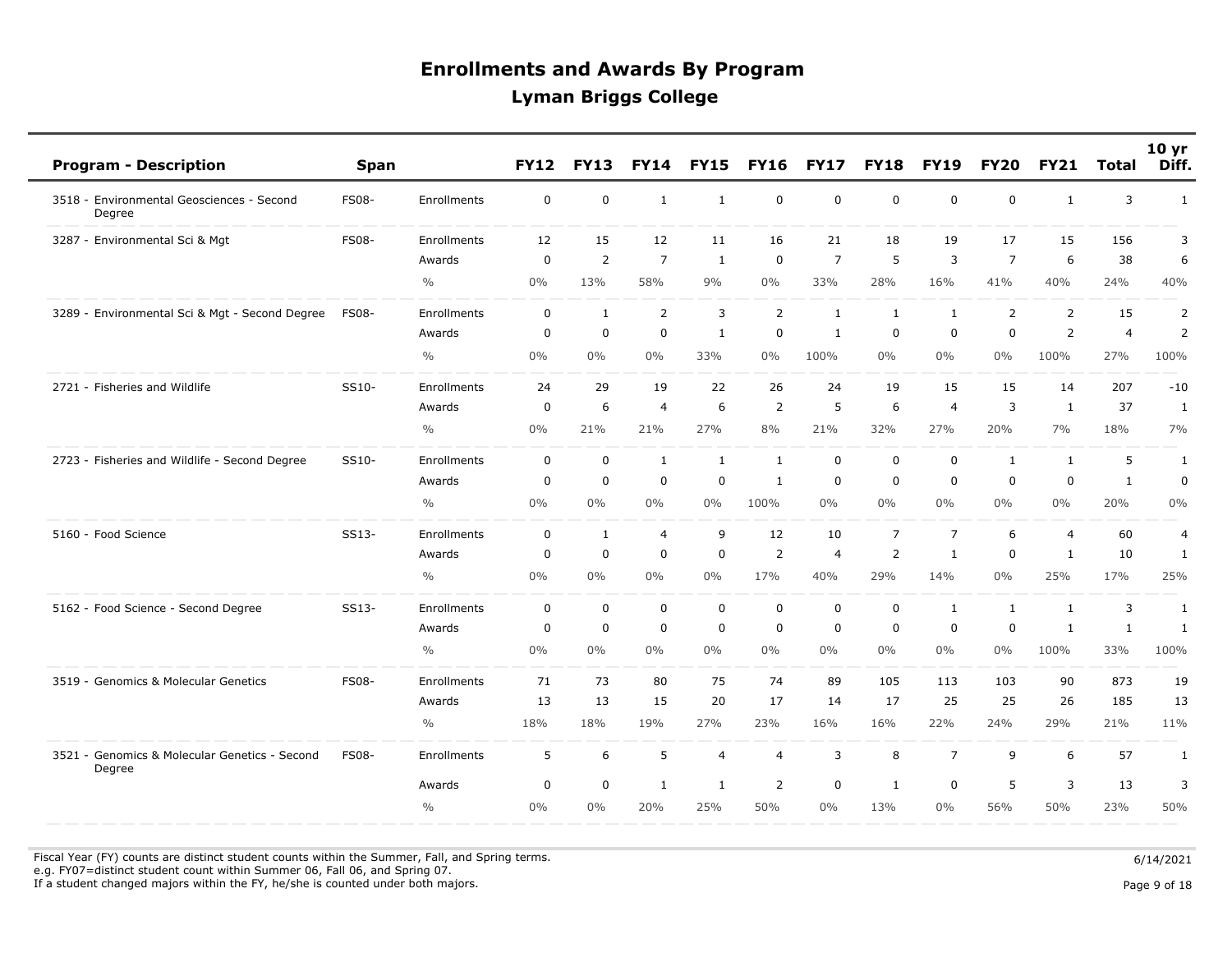| <b>Program - Description</b>                        | Span         |               | <b>FY12</b> | <b>FY13</b>  | <b>FY14</b>    | <b>FY15</b>    | <b>FY16</b>    | <b>FY17</b>    | <b>FY18</b>    | <b>FY19</b>    | <b>FY20</b>    | <b>FY21</b>    | <b>Total</b>   | 10 <sub>yr</sub><br>Diff. |
|-----------------------------------------------------|--------------|---------------|-------------|--------------|----------------|----------------|----------------|----------------|----------------|----------------|----------------|----------------|----------------|---------------------------|
| 3518 - Environmental Geosciences - Second<br>Degree | <b>FS08-</b> | Enrollments   | $\mathbf 0$ | $\mathbf 0$  | $\mathbf{1}$   | $\mathbf{1}$   | $\mathbf 0$    | $\mathbf 0$    | $\mathbf 0$    | $\mathbf 0$    | $\mathbf 0$    | $\mathbf{1}$   | 3              | $\mathbf{1}$              |
| 3287 - Environmental Sci & Mgt                      | <b>FS08-</b> | Enrollments   | 12          | 15           | 12             | 11             | 16             | 21             | 18             | 19             | 17             | 15             | 156            | 3                         |
|                                                     |              | Awards        | 0           | $\mathsf{2}$ | $\overline{7}$ | $\mathbf{1}$   | $\mathbf 0$    | $\overline{7}$ | 5              | 3              | $\overline{7}$ | 6              | 38             | 6                         |
|                                                     |              | $\frac{0}{0}$ | $0\%$       | 13%          | 58%            | 9%             | 0%             | 33%            | 28%            | 16%            | 41%            | 40%            | 24%            | 40%                       |
| 3289 - Environmental Sci & Mgt - Second Degree      | <b>FS08-</b> | Enrollments   | 0           | $\mathbf{1}$ | 2              | 3              | $\overline{2}$ | $\mathbf{1}$   | $\mathbf{1}$   | $\mathbf{1}$   | 2              | 2              | 15             | 2                         |
|                                                     |              | Awards        | $\mathbf 0$ | $\mathbf 0$  | $\mathbf 0$    | $\mathbf{1}$   | $\mathbf 0$    | $\mathbf{1}$   | $\mathbf 0$    | $\mathbf 0$    | $\mathbf 0$    | 2              | $\overline{4}$ | $\overline{2}$            |
|                                                     |              | $\frac{0}{0}$ | $0\%$       | 0%           | 0%             | 33%            | 0%             | 100%           | $0\%$          | $0\%$          | $0\%$          | 100%           | 27%            | 100%                      |
| 2721 - Fisheries and Wildlife                       | SS10-        | Enrollments   | 24          | 29           | 19             | 22             | 26             | 24             | 19             | 15             | 15             | 14             | 207            | $-10$                     |
|                                                     |              | Awards        | $\mathbf 0$ | 6            | $\overline{4}$ | 6              | 2              | 5              | 6              | $\overline{4}$ | 3              | 1              | 37             | 1                         |
|                                                     |              | $\frac{0}{0}$ | $0\%$       | 21%          | 21%            | 27%            | 8%             | 21%            | 32%            | 27%            | 20%            | 7%             | 18%            | 7%                        |
| 2723 - Fisheries and Wildlife - Second Degree       | SS10-        | Enrollments   | $\mathbf 0$ | $\mathbf 0$  | 1              | 1              | 1              | $\Omega$       | $\mathbf 0$    | $\mathbf 0$    | 1              | 1              | 5              | 1                         |
|                                                     |              | Awards        | $\mathbf 0$ | 0            | $\mathbf 0$    | $\mathbf 0$    | 1              | 0              | $\mathbf 0$    | $\mathbf 0$    | $\mathbf 0$    | $\mathbf 0$    | $\mathbf{1}$   | $\pmb{0}$                 |
|                                                     |              | $\frac{0}{0}$ | $0\%$       | $0\%$        | $0\%$          | 0%             | 100%           | $0\%$          | $0\%$          | $0\%$          | $0\%$          | $0\%$          | 20%            | 0%                        |
| 5160 - Food Science                                 | SS13-        | Enrollments   | $\mathbf 0$ | $\mathbf{1}$ | $\overline{4}$ | 9              | 12             | 10             | $\overline{7}$ | $\overline{7}$ | 6              | $\overline{4}$ | 60             | $\overline{4}$            |
|                                                     |              | Awards        | $\mathbf 0$ | $\mathbf 0$  | $\mathbf 0$    | $\mathbf 0$    | 2              | $\overline{4}$ | $\overline{2}$ | $\mathbf{1}$   | $\mathbf 0$    | $\mathbf{1}$   | 10             | 1                         |
|                                                     |              | $\frac{0}{0}$ | $0\%$       | 0%           | 0%             | 0%             | 17%            | 40%            | 29%            | 14%            | $0\%$          | 25%            | 17%            | 25%                       |
| 5162 - Food Science - Second Degree                 | SS13-        | Enrollments   | $\mathbf 0$ | $\mathbf 0$  | $\mathbf 0$    | $\mathbf 0$    | $\mathbf 0$    | $\mathbf 0$    | $\mathbf 0$    | $\mathbf{1}$   | $\mathbf{1}$   | $\mathbf{1}$   | 3              | $\mathbf{1}$              |
|                                                     |              | Awards        | 0           | 0            | $\pmb{0}$      | $\mathbf 0$    | $\mathbf 0$    | 0              | $\mathbf 0$    | $\mathbf 0$    | $\mathbf 0$    | $\mathbf{1}$   | $\mathbf{1}$   | $\mathbf{1}$              |
|                                                     |              | $\frac{0}{0}$ | $0\%$       | $0\%$        | 0%             | $0\%$          | 0%             | $0\%$          | $0\%$          | $0\%$          | $0\%$          | 100%           | 33%            | 100%                      |
| 3519 - Genomics & Molecular Genetics                | <b>FS08-</b> | Enrollments   | 71          | 73           | 80             | 75             | 74             | 89             | 105            | 113            | 103            | 90             | 873            | 19                        |
|                                                     |              | Awards        | 13          | 13           | 15             | 20             | 17             | 14             | 17             | 25             | 25             | 26             | 185            | 13                        |
|                                                     |              | $\frac{0}{0}$ | 18%         | 18%          | 19%            | 27%            | 23%            | 16%            | 16%            | 22%            | 24%            | 29%            | 21%            | 11%                       |
| 3521 - Genomics & Molecular Genetics - Second       | <b>FS08-</b> | Enrollments   | 5           | 6            | 5              | $\overline{4}$ | $\overline{4}$ | 3              | 8              | $\overline{7}$ | 9              | 6              | 57             | $\mathbf{1}$              |
| Degree                                              |              | Awards        | $\mathbf 0$ | $\mathbf 0$  | $\mathbf{1}$   | 1              | 2              | $\mathbf 0$    | $\mathbf{1}$   | $\mathbf 0$    | 5              | 3              | 13             | 3                         |
|                                                     |              | $\frac{0}{0}$ | $0\%$       | 0%           | 20%            | 25%            | 50%            | $0\%$          | 13%            | $0\%$          | 56%            | 50%            | 23%            | 50%                       |
|                                                     |              |               |             |              |                |                |                |                |                |                |                |                |                |                           |

Fiscal Year (FY) counts are distinct student counts within the Summer, Fall, and Spring terms.  $6/14/2021$ 

e.g. FY07=distinct student count within Summer 06, Fall 06, and Spring 07.

If a student changed majors within the FY, he/she is counted under both majors. Page 9 of 18

Page 9 of 18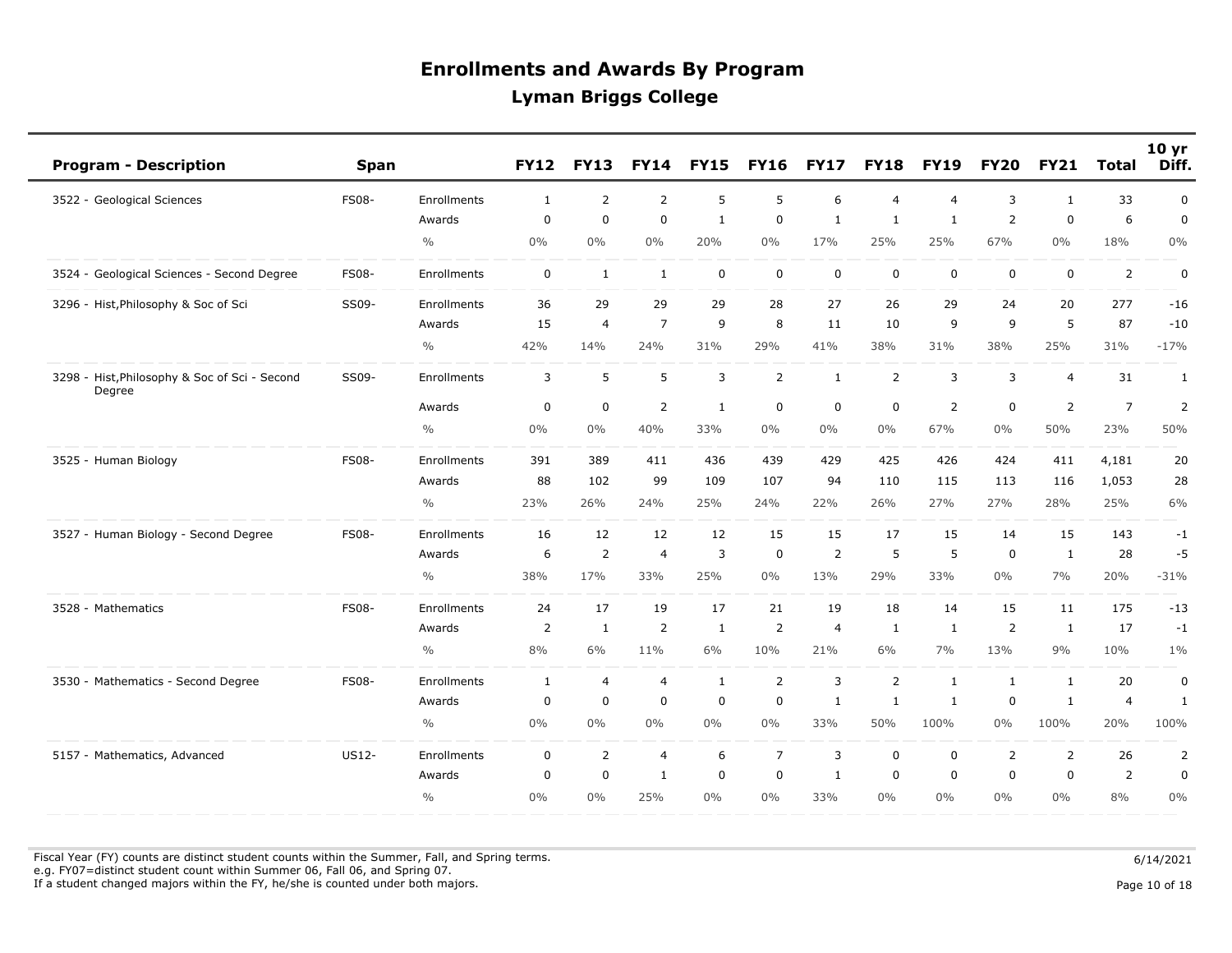| <b>Program - Description</b>                            | Span         |               | <b>FY12</b>    | <b>FY13</b>    | <b>FY14</b>    | <b>FY15</b>    | <b>FY16</b>    | <b>FY17</b>    | <b>FY18</b>    | <b>FY19</b>    | <b>FY20</b>    | <b>FY21</b>    | <b>Total</b>   | 10 <sub>yr</sub><br>Diff. |
|---------------------------------------------------------|--------------|---------------|----------------|----------------|----------------|----------------|----------------|----------------|----------------|----------------|----------------|----------------|----------------|---------------------------|
| 3522 - Geological Sciences                              | <b>FS08-</b> | Enrollments   | 1              | 2              | $\overline{2}$ | 5              | 5              | 6              | $\overline{4}$ | $\overline{4}$ | 3              | $\mathbf{1}$   | 33             | $\mathbf 0$               |
|                                                         |              | Awards        | $\Omega$       | $\mathbf 0$    | $\mathbf 0$    | $\mathbf{1}$   | $\mathbf 0$    | $\mathbf{1}$   | $\mathbf{1}$   | $\mathbf{1}$   | $\overline{2}$ | $\mathbf 0$    | 6              | 0                         |
|                                                         |              | $\frac{0}{0}$ | 0%             | 0%             | 0%             | 20%            | $0\%$          | 17%            | 25%            | 25%            | 67%            | $0\%$          | 18%            | 0%                        |
| 3524 - Geological Sciences - Second Degree              | <b>FS08-</b> | Enrollments   | $\mathbf 0$    | 1              | $\mathbf{1}$   | $\mathbf 0$    | $\mathbf 0$    | $\mathbf 0$    | $\mathbf 0$    | $\mathbf 0$    | $\mathbf 0$    | $\mathbf 0$    | 2              | $\pmb{0}$                 |
| 3296 - Hist, Philosophy & Soc of Sci                    | SS09-        | Enrollments   | 36             | 29             | 29             | 29             | 28             | 27             | 26             | 29             | 24             | 20             | 277            | $-16$                     |
|                                                         |              | Awards        | 15             | $\overline{4}$ | $\overline{7}$ | 9              | 8              | 11             | 10             | 9              | 9              | 5              | 87             | $-10$                     |
|                                                         |              | $\frac{0}{0}$ | 42%            | 14%            | 24%            | 31%            | 29%            | 41%            | 38%            | 31%            | 38%            | 25%            | 31%            | $-17%$                    |
| 3298 - Hist, Philosophy & Soc of Sci - Second<br>Degree | SS09-        | Enrollments   | 3              | 5              | 5              | $\overline{3}$ | $\overline{2}$ | $\mathbf{1}$   | 2              | 3              | 3              | $\overline{4}$ | 31             | 1                         |
|                                                         |              | Awards        | $\mathbf 0$    | $\pmb{0}$      | $\overline{2}$ | $\mathbf{1}$   | $\mathbf 0$    | $\pmb{0}$      | 0              | $\overline{2}$ | 0              | 2              | $\overline{7}$ | $\overline{2}$            |
|                                                         |              | $\frac{0}{0}$ | 0%             | 0%             | 40%            | 33%            | $0\%$          | $0\%$          | $0\%$          | 67%            | $0\%$          | 50%            | 23%            | 50%                       |
| 3525 - Human Biology                                    | <b>FS08-</b> | Enrollments   | 391            | 389            | 411            | 436            | 439            | 429            | 425            | 426            | 424            | 411            | 4,181          | 20                        |
|                                                         |              | Awards        | 88             | 102            | 99             | 109            | 107            | 94             | 110            | 115            | 113            | 116            | 1,053          | 28                        |
|                                                         |              | $\frac{0}{0}$ | 23%            | 26%            | 24%            | 25%            | 24%            | 22%            | 26%            | 27%            | 27%            | 28%            | 25%            | 6%                        |
| 3527 - Human Biology - Second Degree                    | <b>FS08-</b> | Enrollments   | 16             | 12             | 12             | 12             | 15             | 15             | 17             | 15             | 14             | 15             | 143            | $-1$                      |
|                                                         |              | Awards        | 6              | $\overline{2}$ | $\overline{4}$ | 3              | $\mathbf 0$    | $\overline{2}$ | 5              | 5              | $\mathbf 0$    | $\mathbf{1}$   | 28             | $-5$                      |
|                                                         |              | $\frac{0}{0}$ | 38%            | 17%            | 33%            | 25%            | $0\%$          | 13%            | 29%            | 33%            | $0\%$          | 7%             | 20%            | $-31%$                    |
| 3528 - Mathematics                                      | <b>FS08-</b> | Enrollments   | 24             | 17             | 19             | 17             | 21             | 19             | 18             | 14             | 15             | 11             | 175            | $-13$                     |
|                                                         |              | Awards        | $\overline{2}$ | $\mathbf{1}$   | $\overline{2}$ | $\mathbf{1}$   | $\overline{2}$ | $\overline{4}$ | $\mathbf{1}$   | $\mathbf{1}$   | 2              | $\mathbf{1}$   | 17             | $-1$                      |
|                                                         |              | $\frac{0}{0}$ | 8%             | 6%             | 11%            | 6%             | 10%            | 21%            | 6%             | 7%             | 13%            | 9%             | 10%            | $1\%$                     |
| 3530 - Mathematics - Second Degree                      | <b>FS08-</b> | Enrollments   | $\mathbf{1}$   | $\overline{4}$ | $\overline{4}$ | $\mathbf{1}$   | $\overline{2}$ | 3              | $\overline{2}$ | $\mathbf{1}$   | $\mathbf{1}$   | $\mathbf{1}$   | 20             | $\pmb{0}$                 |
|                                                         |              | Awards        | $\mathbf 0$    | $\mathbf 0$    | $\mathbf 0$    | $\mathbf 0$    | $\mathbf 0$    | $\mathbf{1}$   | $\mathbf{1}$   | $\mathbf{1}$   | $\mathbf 0$    | $\mathbf{1}$   | $\overline{4}$ | $\mathbf{1}$              |
|                                                         |              | $\frac{0}{0}$ | 0%             | $0\%$          | $0\%$          | $0\%$          | $0\%$          | 33%            | 50%            | 100%           | $0\%$          | 100%           | 20%            | 100%                      |
| 5157 - Mathematics, Advanced                            | US12-        | Enrollments   | $\mathbf 0$    | 2              | 4              | 6              | $\overline{7}$ | 3              | $\mathbf 0$    | $\mathbf 0$    | $\overline{2}$ | $\overline{2}$ | 26             | $\overline{2}$            |
|                                                         |              | Awards        | $\Omega$       | $\Omega$       | $\mathbf{1}$   | $\mathbf 0$    | $\mathbf 0$    | $\mathbf{1}$   | $\Omega$       | $\Omega$       | $\Omega$       | $\Omega$       | 2              | $\mathbf 0$               |
|                                                         |              | $\frac{0}{0}$ | 0%             | 0%             | 25%            | $0\%$          | $0\%$          | 33%            | $0\%$          | $0\%$          | $0\%$          | $0\%$          | 8%             | 0%                        |

Fiscal Year (FY) counts are distinct student counts within the Summer, Fall, and Spring terms.  $6/14/2021$ e.g. FY07=distinct student count within Summer 06, Fall 06, and Spring 07.

If a student changed majors within the FY, he/she is counted under both majors. Page 10 of 18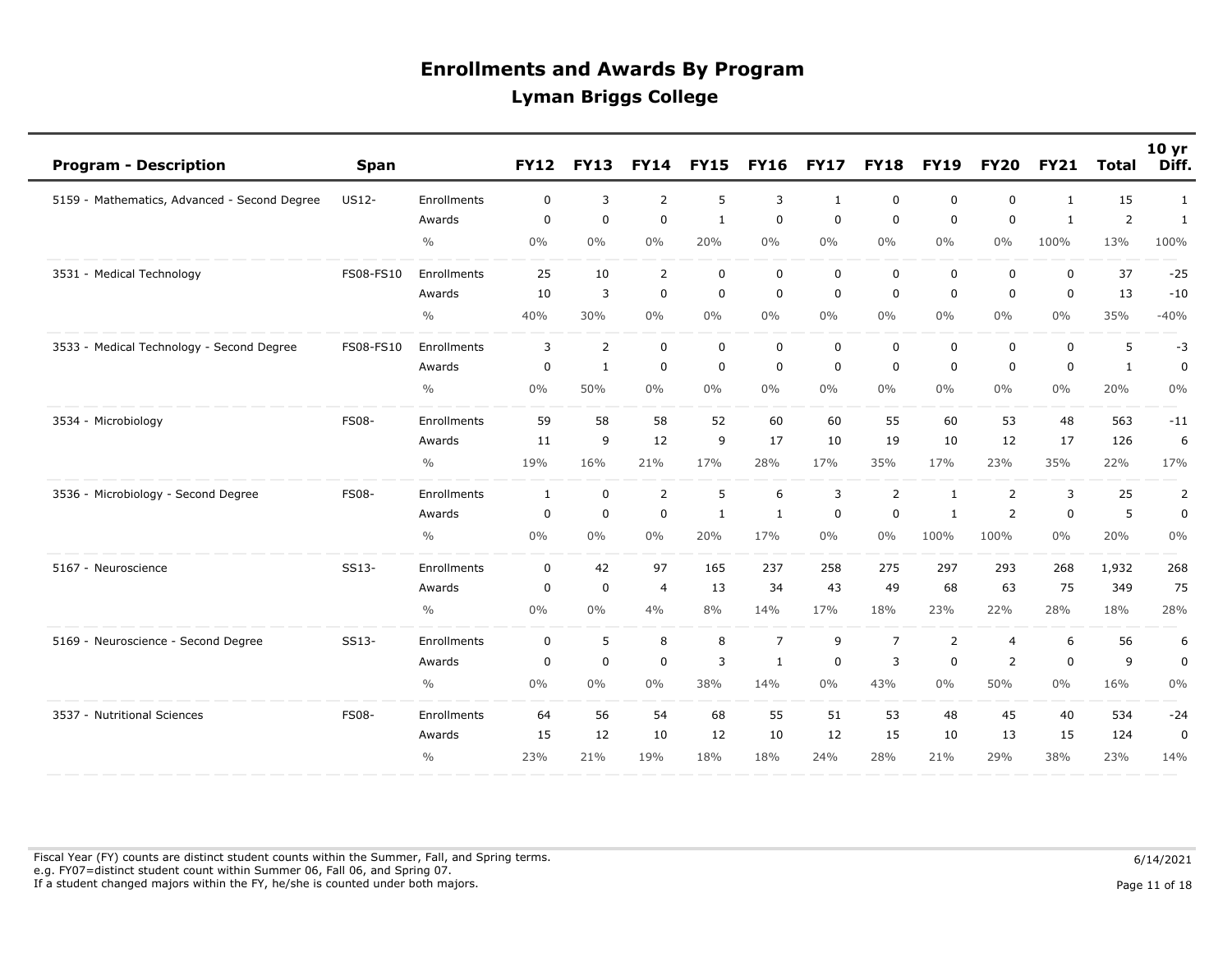| <b>Program - Description</b>                 | <b>Span</b>  |                    | <b>FY12</b> | <b>FY13</b> | <b>FY14</b>    | <b>FY15</b>  | <b>FY16</b>    | <b>FY17</b> | <b>FY18</b>    | <b>FY19</b>  | <b>FY20</b>    | <b>FY21</b>  | <b>Total</b>   | 10 <sub>yr</sub><br>Diff. |
|----------------------------------------------|--------------|--------------------|-------------|-------------|----------------|--------------|----------------|-------------|----------------|--------------|----------------|--------------|----------------|---------------------------|
| 5159 - Mathematics, Advanced - Second Degree | <b>US12-</b> | Enrollments        | $\mathbf 0$ | 3           | 2              | 5            | 3              | 1           | $\mathbf 0$    | $\mathbf 0$  | $\mathbf 0$    | $\mathbf{1}$ | 15             | $\mathbf{1}$              |
|                                              |              | Awards             | $\Omega$    | $\mathbf 0$ | $\mathbf 0$    | $\mathbf{1}$ | $\Omega$       | $\mathbf 0$ | $\mathbf 0$    | $\mathbf 0$  | 0              | 1            | $\overline{2}$ | 1                         |
|                                              |              | $\frac{0}{0}$      | $0\%$       | $0\%$       | $0\%$          | 20%          | $0\%$          | $0\%$       | $0\%$          | $0\%$        | $0\%$          | 100%         | 13%            | 100%                      |
| 3531 - Medical Technology                    | FS08-FS10    | Enrollments        | 25          | 10          | $\overline{2}$ | $\mathbf 0$  | $\mathbf 0$    | $\mathbf 0$ | 0              | $\mathbf 0$  | $\mathbf 0$    | $\mathbf 0$  | 37             | $-25$                     |
|                                              |              | Awards             | 10          | 3           | $\mathbf 0$    | $\mathbf 0$  | 0              | $\mathbf 0$ | $\mathbf 0$    | $\mathbf 0$  | $\mathbf 0$    | $\mathbf 0$  | 13             | $-10$                     |
|                                              |              | $\frac{0}{0}$      | 40%         | 30%         | $0\%$          | $0\%$        | 0%             | $0\%$       | $0\%$          | $0\%$        | $0\%$          | 0%           | 35%            | $-40%$                    |
| 3533 - Medical Technology - Second Degree    | FS08-FS10    | <b>Enrollments</b> | 3           | 2           | $\mathbf 0$    | $\mathbf 0$  | $\mathbf 0$    | $\mathbf 0$ | $\mathbf 0$    | $\mathbf 0$  | $\mathbf 0$    | $\mathbf 0$  | 5              | -3                        |
|                                              |              | Awards             | $\mathbf 0$ | 1           | 0              | $\mathbf 0$  | $\mathbf 0$    | $\mathbf 0$ | $\mathbf 0$    | $\mathbf 0$  | $\mathbf 0$    | $\mathbf 0$  | $\mathbf{1}$   | $\mathbf 0$               |
|                                              |              | $\frac{0}{0}$      | 0%          | 50%         | $0\%$          | $0\%$        | $0\%$          | $0\%$       | $0\%$          | $0\%$        | $0\%$          | $0\%$        | 20%            | $0\%$                     |
| 3534 - Microbiology                          | <b>FS08-</b> | Enrollments        | 59          | 58          | 58             | 52           | 60             | 60          | 55             | 60           | 53             | 48           | 563            | $-11$                     |
|                                              |              | Awards             | 11          | 9           | 12             | 9            | 17             | 10          | 19             | 10           | 12             | 17           | 126            | 6                         |
|                                              |              | $\frac{0}{0}$      | 19%         | 16%         | 21%            | 17%          | 28%            | 17%         | 35%            | 17%          | 23%            | 35%          | 22%            | 17%                       |
| 3536 - Microbiology - Second Degree          | <b>FS08-</b> | Enrollments        | 1           | $\mathbf 0$ | $\overline{2}$ | 5            | 6              | 3           | 2              | $\mathbf{1}$ | $\overline{2}$ | 3            | 25             | 2                         |
|                                              |              | Awards             | 0           | $\mathbf 0$ | 0              | 1            | 1              | 0           | 0              | 1            | 2              | $\mathbf 0$  | 5              | $\mathbf 0$               |
|                                              |              | $\frac{0}{0}$      | 0%          | $0\%$       | 0%             | 20%          | 17%            | $0\%$       | $0\%$          | 100%         | 100%           | $0\%$        | 20%            | 0%                        |
| 5167 - Neuroscience                          | SS13-        | Enrollments        | $\mathbf 0$ | 42          | 97             | 165          | 237            | 258         | 275            | 297          | 293            | 268          | 1,932          | 268                       |
|                                              |              | Awards             | $\mathbf 0$ | $\mathbf 0$ | $\overline{4}$ | 13           | 34             | 43          | 49             | 68           | 63             | 75           | 349            | 75                        |
|                                              |              | $\frac{0}{0}$      | 0%          | $0\%$       | 4%             | 8%           | 14%            | 17%         | 18%            | 23%          | 22%            | 28%          | 18%            | 28%                       |
| 5169 - Neuroscience - Second Degree          | SS13-        | Enrollments        | 0           | 5           | 8              | 8            | $\overline{7}$ | 9           | $\overline{7}$ | 2            | $\overline{4}$ | 6            | 56             | 6                         |
|                                              |              | Awards             | $\mathbf 0$ | $\mathbf 0$ | $\mathbf 0$    | 3            | 1              | $\mathbf 0$ | 3              | $\mathbf 0$  | $\overline{2}$ | 0            | 9              | $\pmb{0}$                 |
|                                              |              | $\frac{0}{0}$      | 0%          | 0%          | 0%             | 38%          | 14%            | $0\%$       | 43%            | $0\%$        | 50%            | $0\%$        | 16%            | 0%                        |
| 3537 - Nutritional Sciences                  | <b>FS08-</b> | Enrollments        | 64          | 56          | 54             | 68           | 55             | 51          | 53             | 48           | 45             | 40           | 534            | $-24$                     |
|                                              |              | Awards             | 15          | 12          | 10             | 12           | 10             | 12          | 15             | 10           | 13             | 15           | 124            | 0                         |
|                                              |              | $\frac{0}{0}$      | 23%         | 21%         | 19%            | 18%          | 18%            | 24%         | 28%            | 21%          | 29%            | 38%          | 23%            | 14%                       |

Fiscal Year (FY) counts are distinct student counts within the Summer, Fall, and Spring terms.  $6/14/2021$  e.g. FY07=distinct student count within Summer 06, Fall 06, and Spring 07. If a student changed majors within the FY, he/she is counted under both majors. Page 11 of 18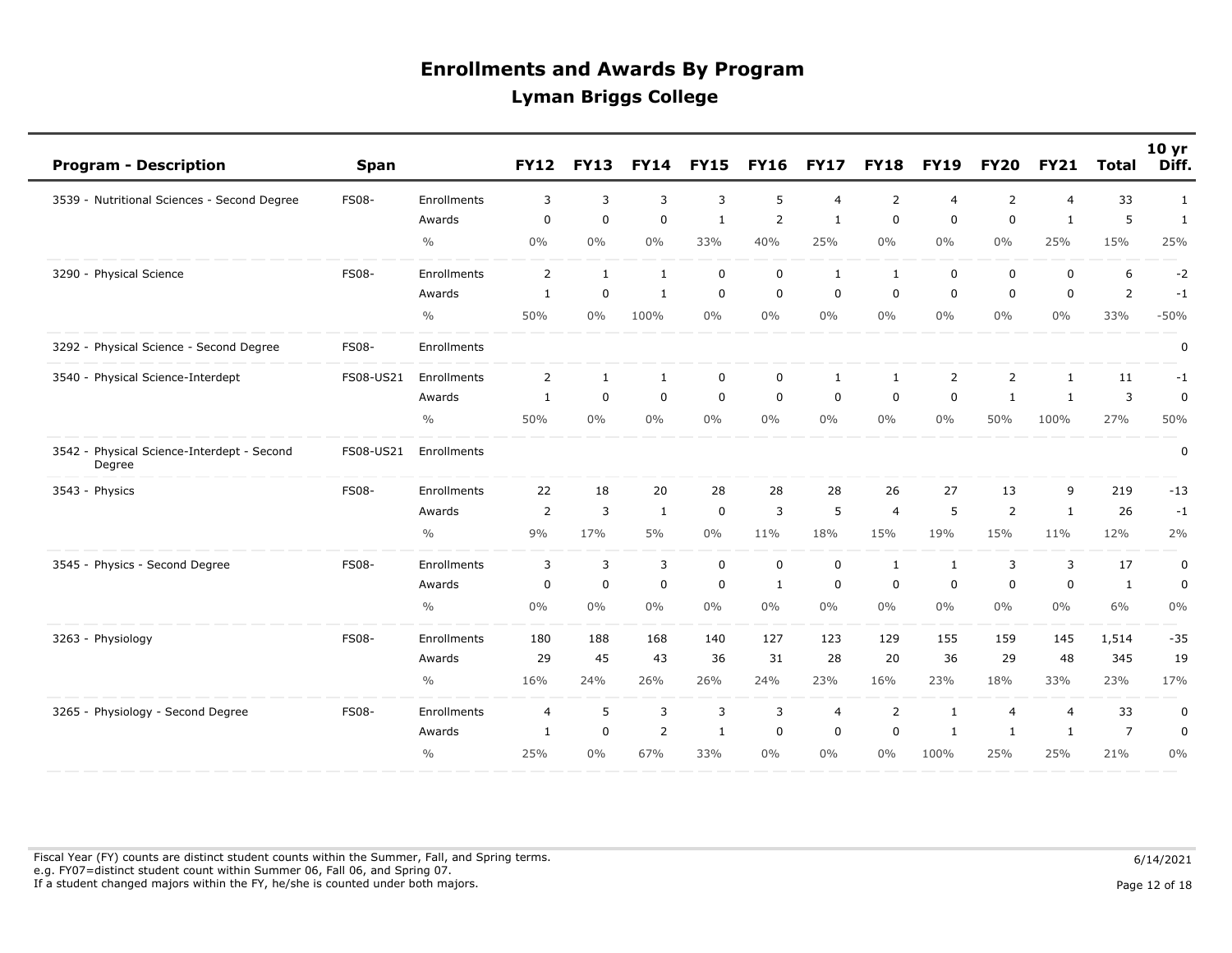| <b>Program - Description</b>                         | Span         |               | <b>FY12</b>    | <b>FY13</b> | <b>FY14</b>  | <b>FY15</b>  | <b>FY16</b>    | <b>FY17</b>    | <b>FY18</b>    | <b>FY19</b>    | <b>FY20</b>    | <b>FY21</b>    | <b>Total</b>   | 10 <sub>yr</sub><br>Diff. |
|------------------------------------------------------|--------------|---------------|----------------|-------------|--------------|--------------|----------------|----------------|----------------|----------------|----------------|----------------|----------------|---------------------------|
| 3539 - Nutritional Sciences - Second Degree          | <b>FS08-</b> | Enrollments   | 3              | 3           | 3            | 3            | 5              | $\overline{4}$ | 2              | $\overline{4}$ | 2              | $\overline{4}$ | 33             | $\mathbf{1}$              |
|                                                      |              | Awards        | $\mathbf 0$    | $\mathbf 0$ | $\mathbf 0$  | $\mathbf{1}$ | $\overline{2}$ | $\mathbf{1}$   | $\mathbf 0$    | $\Omega$       | $\mathbf 0$    | $\mathbf{1}$   | 5              | $\mathbf{1}$              |
|                                                      |              | $\frac{0}{0}$ | $0\%$          | $0\%$       | $0\%$        | 33%          | 40%            | 25%            | $0\%$          | $0\%$          | $0\%$          | 25%            | 15%            | 25%                       |
| 3290 - Physical Science                              | <b>FS08-</b> | Enrollments   | 2              | 1           | $\mathbf{1}$ | 0            | 0              | 1              | $\mathbf{1}$   | $\mathbf 0$    | $\mathbf 0$    | $\mathbf 0$    | 6              | $-2$                      |
|                                                      |              | Awards        | $\mathbf{1}$   | $\mathbf 0$ | $\mathbf{1}$ | $\mathbf 0$  | $\mathbf 0$    | $\mathbf 0$    | $\mathbf 0$    | $\mathbf 0$    | $\mathbf 0$    | $\mathbf 0$    | $\overline{2}$ | $-1$                      |
|                                                      |              | $\frac{0}{0}$ | 50%            | 0%          | 100%         | 0%           | 0%             | $0\%$          | 0%             | $0\%$          | $0\%$          | $0\%$          | 33%            | $-50%$                    |
| 3292 - Physical Science - Second Degree              | <b>FS08-</b> | Enrollments   |                |             |              |              |                |                |                |                |                |                |                | 0                         |
| 3540 - Physical Science-Interdept                    | FS08-US21    | Enrollments   | $\overline{2}$ | 1           | $\mathbf{1}$ | $\mathbf 0$  | $\mathbf 0$    | $\mathbf{1}$   | $\mathbf{1}$   | $\overline{2}$ | $\overline{2}$ | $\mathbf{1}$   | 11             | $-1$                      |
|                                                      |              | Awards        | $\mathbf{1}$   | $\Omega$    | $\mathbf 0$  | $\mathbf 0$  | 0              | $\Omega$       | $\mathbf 0$    | $\mathbf 0$    | 1              | 1              | 3              | $\mathbf 0$               |
|                                                      |              | $\frac{0}{0}$ | 50%            | 0%          | 0%           | $0\%$        | 0%             | $0\%$          | 0%             | $0\%$          | 50%            | 100%           | 27%            | 50%                       |
| 3542 - Physical Science-Interdept - Second<br>Degree | FS08-US21    | Enrollments   |                |             |              |              |                |                |                |                |                |                |                | 0                         |
| 3543 - Physics                                       | <b>FS08-</b> | Enrollments   | 22             | 18          | 20           | 28           | 28             | 28             | 26             | 27             | 13             | 9              | 219            | $-13$                     |
|                                                      |              | Awards        | 2              | 3           | $\mathbf{1}$ | $\mathbf 0$  | 3              | 5              | $\overline{a}$ | 5              | $\overline{2}$ | 1              | 26             | $-1$                      |
|                                                      |              | $\frac{0}{0}$ | 9%             | 17%         | 5%           | $0\%$        | 11%            | 18%            | 15%            | 19%            | 15%            | 11%            | 12%            | 2%                        |
| 3545 - Physics - Second Degree                       | <b>FS08-</b> | Enrollments   | 3              | 3           | 3            | $\mathbf 0$  | 0              | $\mathbf 0$    | $\mathbf{1}$   | $\mathbf{1}$   | 3              | 3              | 17             | $\pmb{0}$                 |
|                                                      |              | Awards        | $\mathbf 0$    | $\mathbf 0$ | $\mathbf 0$  | $\mathbf 0$  | 1              | $\mathbf 0$    | $\mathbf 0$    | $\mathbf 0$    | $\mathbf 0$    | $\mathbf 0$    | $\mathbf{1}$   | $\mathbf 0$               |
|                                                      |              | $\frac{0}{0}$ | $0\%$          | $0\%$       | 0%           | $0\%$        | 0%             | $0\%$          | $0\%$          | $0\%$          | $0\%$          | $0\%$          | 6%             | $0\%$                     |
| 3263 - Physiology                                    | <b>FS08-</b> | Enrollments   | 180            | 188         | 168          | 140          | 127            | 123            | 129            | 155            | 159            | 145            | 1,514          | $-35$                     |
|                                                      |              | Awards        | 29             | 45          | 43           | 36           | 31             | 28             | 20             | 36             | 29             | 48             | 345            | 19                        |
|                                                      |              | $\frac{0}{0}$ | 16%            | 24%         | 26%          | 26%          | 24%            | 23%            | 16%            | 23%            | 18%            | 33%            | 23%            | 17%                       |
| 3265 - Physiology - Second Degree                    | <b>FS08-</b> | Enrollments   | $\overline{4}$ | 5           | 3            | 3            | 3              | $\overline{4}$ | $\overline{2}$ | $\mathbf{1}$   | $\overline{4}$ | $\overline{4}$ | 33             | 0                         |
|                                                      |              | Awards        | 1              | $\mathbf 0$ | 2            | $\mathbf{1}$ | 0              | 0              | $\mathbf 0$    | $\mathbf{1}$   | 1              | 1              | $\overline{7}$ | $\mathbf 0$               |
|                                                      |              | $\frac{0}{0}$ | 25%            | 0%          | 67%          | 33%          | $0\%$          | $0\%$          | 0%             | 100%           | 25%            | 25%            | 21%            | 0%                        |

Fiscal Year (FY) counts are distinct student counts within the Summer, Fall, and Spring terms.  $6/14/2021$  e.g. FY07=distinct student count within Summer 06, Fall 06, and Spring 07. If a student changed majors within the FY, he/she is counted under both majors. Page 12 of 18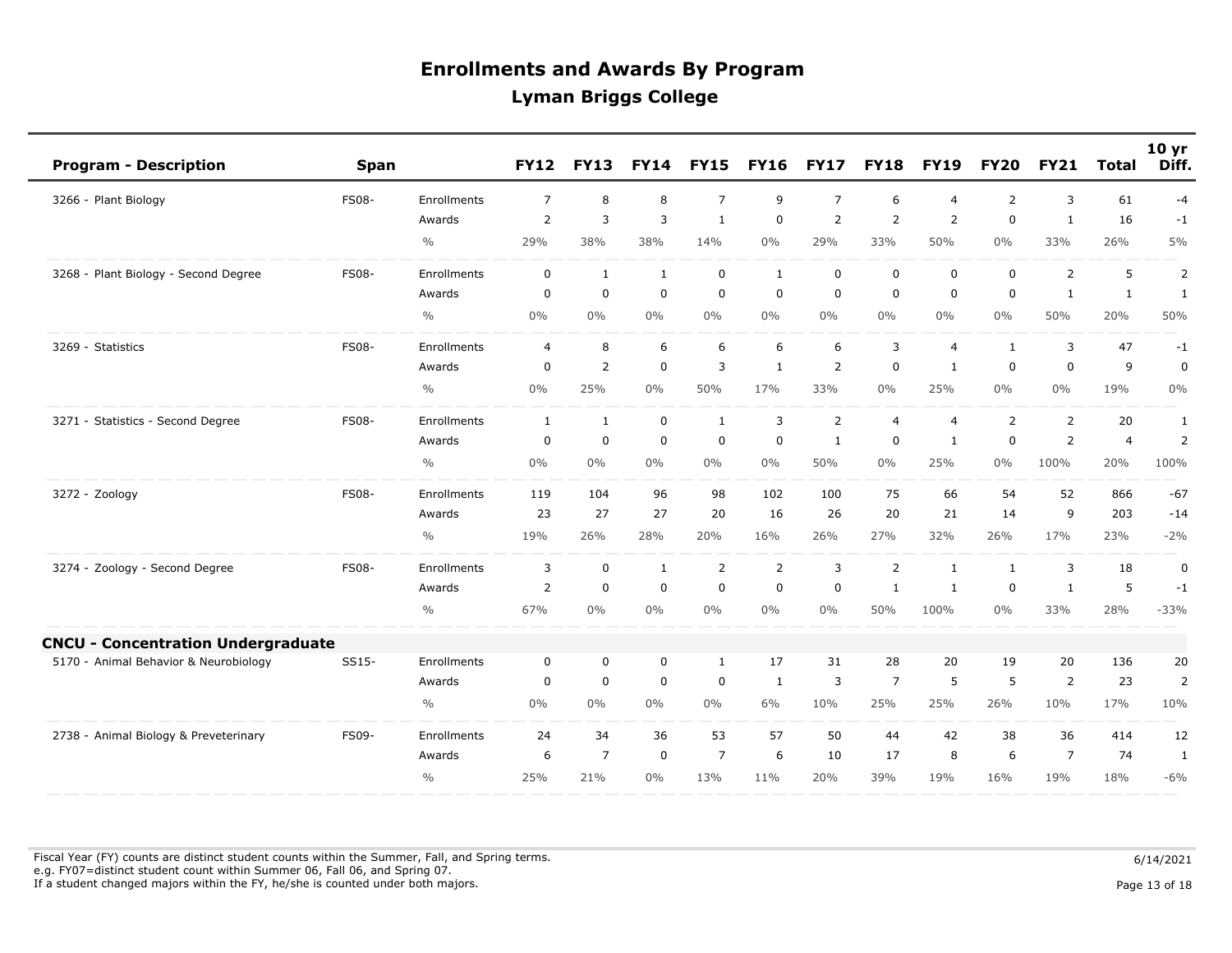| <b>Program - Description</b>              | <b>Span</b>  |               | <b>FY12</b>    | <b>FY13</b>    | <b>FY14</b>  | <b>FY15</b>    | <b>FY16</b>  | <b>FY17</b>    | <b>FY18</b>    | <b>FY19</b>    | <b>FY20</b>    | <b>FY21</b>    | <b>Total</b>   | 10 <sub>yr</sub><br>Diff. |
|-------------------------------------------|--------------|---------------|----------------|----------------|--------------|----------------|--------------|----------------|----------------|----------------|----------------|----------------|----------------|---------------------------|
| 3266 - Plant Biology                      | <b>FS08-</b> | Enrollments   | $\overline{7}$ | 8              | 8            | $\overline{7}$ | 9            | $\overline{7}$ | 6              | $\overline{4}$ | $\overline{2}$ | 3              | 61             | $-4$                      |
|                                           |              | Awards        | $\overline{2}$ | 3              | 3            | $\mathbf{1}$   | $\mathsf 0$  | $\overline{2}$ | $\overline{2}$ | $\overline{2}$ | 0              | $\mathbf{1}$   | 16             | $-1$                      |
|                                           |              | $\frac{0}{0}$ | 29%            | 38%            | 38%          | 14%            | $0\%$        | 29%            | 33%            | 50%            | $0\%$          | 33%            | 26%            | 5%                        |
| 3268 - Plant Biology - Second Degree      | <b>FS08-</b> | Enrollments   | 0              | $\mathbf{1}$   | $\mathbf{1}$ | $\mathbf 0$    | $\mathbf{1}$ | $\mathbf 0$    | $\mathbf 0$    | $\mathbf 0$    | 0              | 2              | 5              | 2                         |
|                                           |              | Awards        | $\mathbf 0$    | $\mathbf 0$    | $\mathbf 0$  | $\mathsf 0$    | $\mathbf 0$  | $\mathbf 0$    | $\mathbf 0$    | $\mathbf 0$    | $\mathbf 0$    | $\mathbf{1}$   | $\mathbf{1}$   | $\mathbf{1}$              |
|                                           |              | $\frac{0}{0}$ | $0\%$          | $0\%$          | $0\%$        | $0\%$          | $0\%$        | $0\%$          | $0\%$          | $0\%$          | $0\%$          | 50%            | 20%            | 50%                       |
| 3269 - Statistics                         | <b>FS08-</b> | Enrollments   | $\overline{4}$ | 8              | 6            | 6              | 6            | 6              | 3              | $\overline{4}$ | $\mathbf{1}$   | 3              | 47             | $-1$                      |
|                                           |              | Awards        | 0              | 2              | $\mathbf 0$  | 3              | 1            | 2              | $\mathbf 0$    | 1              | 0              | $\mathbf 0$    | 9              | $\mathbf 0$               |
|                                           |              | $\frac{0}{0}$ | 0%             | 25%            | $0\%$        | 50%            | 17%          | 33%            | $0\%$          | 25%            | $0\%$          | 0%             | 19%            | 0%                        |
| 3271 - Statistics - Second Degree         | <b>FS08-</b> | Enrollments   | 1              | $\mathbf{1}$   | $\mathbf 0$  | $\mathbf{1}$   | 3            | $\overline{2}$ | $\overline{4}$ | $\overline{4}$ | $\overline{2}$ | $\overline{2}$ | 20             | 1                         |
|                                           |              | Awards        | $\mathbf 0$    | $\mathbf 0$    | $\mathbf 0$  | $\mathbf 0$    | $\mathbf 0$  | $\mathbf{1}$   | $\mathbf 0$    | 1              | 0              | 2              | $\overline{4}$ | $\overline{2}$            |
|                                           |              | $\frac{0}{0}$ | 0%             | $0\%$          | $0\%$        | $0\%$          | $0\%$        | 50%            | $0\%$          | 25%            | $0\%$          | 100%           | 20%            | 100%                      |
| 3272 - Zoology                            | <b>FS08-</b> | Enrollments   | 119            | 104            | 96           | 98             | 102          | 100            | 75             | 66             | 54             | 52             | 866            | $-67$                     |
|                                           |              | Awards        | 23             | 27             | 27           | 20             | 16           | 26             | 20             | 21             | 14             | 9              | 203            | $-14$                     |
|                                           |              | $\frac{0}{0}$ | 19%            | 26%            | 28%          | 20%            | 16%          | 26%            | 27%            | 32%            | 26%            | 17%            | 23%            | $-2%$                     |
| 3274 - Zoology - Second Degree            | <b>FS08-</b> | Enrollments   | 3              | $\mathbf 0$    | $\mathbf{1}$ | $\overline{2}$ | 2            | 3              | $\overline{2}$ | $\mathbf{1}$   | $\mathbf{1}$   | 3              | 18             | $\pmb{0}$                 |
|                                           |              | Awards        | $\overline{2}$ | $\mathbf 0$    | $\mathbf 0$  | $\mathbf 0$    | $\mathbf 0$  | $\mathbf 0$    | $\mathbf{1}$   | $\mathbf{1}$   | 0              | $\mathbf{1}$   | 5              | $-1$                      |
|                                           |              | $\frac{0}{0}$ | 67%            | $0\%$          | $0\%$        | $0\%$          | $0\%$        | $0\%$          | 50%            | 100%           | $0\%$          | 33%            | 28%            | $-33%$                    |
| <b>CNCU - Concentration Undergraduate</b> |              |               |                |                |              |                |              |                |                |                |                |                |                |                           |
| 5170 - Animal Behavior & Neurobiology     | SS15-        | Enrollments   | 0              | 0              | $\mathbf 0$  | $\mathbf{1}$   | 17           | 31             | 28             | 20             | 19             | 20             | 136            | 20                        |
|                                           |              | Awards        | 0              | $\mathbf 0$    | $\mathbf 0$  | $\mathbf 0$    | 1            | 3              | $\overline{7}$ | 5              | 5              | 2              | 23             | 2                         |
|                                           |              | $\frac{0}{0}$ | 0%             | $0\%$          | $0\%$        | $0\%$          | 6%           | 10%            | 25%            | 25%            | 26%            | 10%            | 17%            | 10%                       |
| 2738 - Animal Biology & Preveterinary     | FS09-        | Enrollments   | 24             | 34             | 36           | 53             | 57           | 50             | 44             | 42             | 38             | 36             | 414            | 12                        |
|                                           |              | Awards        | 6              | $\overline{7}$ | $\mathbf 0$  | $\overline{7}$ | 6            | 10             | 17             | 8              | 6              | $\overline{7}$ | 74             | $\mathbf{1}$              |
|                                           |              | $\frac{0}{0}$ | 25%            | 21%            | $0\%$        | 13%            | 11%          | 20%            | 39%            | 19%            | 16%            | 19%            | 18%            | $-6%$                     |

Fiscal Year (FY) counts are distinct student counts within the Summer, Fall, and Spring terms.  $6/14/2021$  e.g. FY07=distinct student count within Summer 06, Fall 06, and Spring 07. If a student changed majors within the FY, he/she is counted under both majors. Page 13 of 18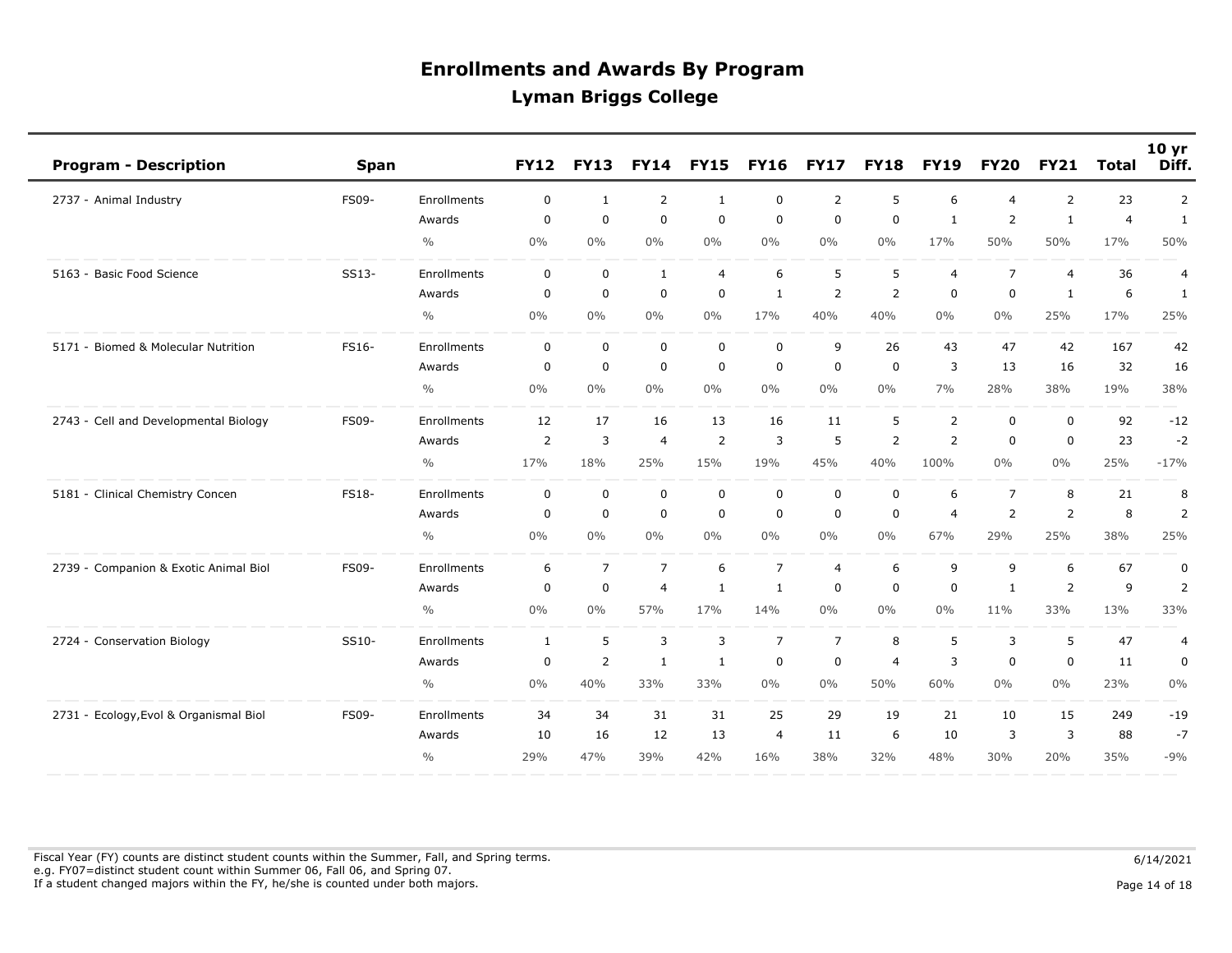| <b>Program - Description</b>           | <b>Span</b>  |               | <b>FY12</b>    | <b>FY13</b>    | <b>FY14</b>    | <b>FY15</b>  | <b>FY16</b>    | <b>FY17</b>    | <b>FY18</b>    | <b>FY19</b>    | <b>FY20</b>    | <b>FY21</b>    | <b>Total</b>   | 10 <sub>yr</sub><br>Diff. |
|----------------------------------------|--------------|---------------|----------------|----------------|----------------|--------------|----------------|----------------|----------------|----------------|----------------|----------------|----------------|---------------------------|
| 2737 - Animal Industry                 | FS09-        | Enrollments   | $\mathbf 0$    | 1              | $\overline{2}$ | $\mathbf{1}$ | $\mathbf 0$    | 2              | 5              | 6              | 4              | 2              | 23             | $\overline{2}$            |
|                                        |              | Awards        | $\mathbf 0$    | $\mathbf 0$    | $\mathbf 0$    | $\mathbf 0$  | $\mathbf 0$    | $\mathbf 0$    | 0              | $\mathbf{1}$   | $\overline{2}$ | $\mathbf{1}$   | $\overline{4}$ | $\mathbf{1}$              |
|                                        |              | $\frac{0}{0}$ | 0%             | $0\%$          | $0\%$          | $0\%$        | $0\%$          | $0\%$          | $0\%$          | 17%            | 50%            | 50%            | 17%            | 50%                       |
| 5163 - Basic Food Science              | SS13-        | Enrollments   | $\mathbf 0$    | $\mathbf 0$    | $\mathbf{1}$   | 4            | 6              | 5              | 5              | $\overline{4}$ | $\overline{7}$ | $\overline{4}$ | 36             | 4                         |
|                                        |              | Awards        | $\mathbf 0$    | $\mathbf 0$    | $\mathbf 0$    | $\mathbf 0$  | 1              | 2              | $\overline{2}$ | $\mathbf 0$    | 0              | $\mathbf{1}$   | 6              | $\mathbf{1}$              |
|                                        |              | $\frac{0}{0}$ | 0%             | $0\%$          | $0\%$          | $0\%$        | 17%            | 40%            | 40%            | $0\%$          | $0\%$          | 25%            | 17%            | 25%                       |
| 5171 - Biomed & Molecular Nutrition    | FS16-        | Enrollments   | $\mathbf 0$    | $\mathbf 0$    | $\mathbf 0$    | $\mathbf 0$  | $\mathbf 0$    | 9              | 26             | 43             | 47             | 42             | 167            | 42                        |
|                                        |              | Awards        | $\mathbf 0$    | $\mathbf 0$    | $\mathbf 0$    | $\mathbf 0$  | $\mathbf 0$    | $\mathbf 0$    | $\mathbf 0$    | 3              | 13             | 16             | 32             | 16                        |
|                                        |              | $\frac{0}{0}$ | 0%             | $0\%$          | $0\%$          | $0\%$        | $0\%$          | $0\%$          | $0\%$          | 7%             | 28%            | 38%            | 19%            | 38%                       |
| 2743 - Cell and Developmental Biology  | FS09-        | Enrollments   | 12             | 17             | 16             | 13           | 16             | 11             | 5              | $\overline{2}$ | 0              | $\mathbf 0$    | 92             | $-12$                     |
|                                        |              | Awards        | $\overline{2}$ | 3              | $\overline{4}$ | 2            | 3              | 5              | $\overline{2}$ | $\overline{2}$ | 0              | $\mathbf 0$    | 23             | $-2$                      |
|                                        |              | $\frac{0}{0}$ | 17%            | 18%            | 25%            | 15%          | 19%            | 45%            | 40%            | 100%           | $0\%$          | $0\%$          | 25%            | $-17%$                    |
| 5181 - Clinical Chemistry Concen       | <b>FS18-</b> | Enrollments   | $\pmb{0}$      | $\mathbf 0$    | $\mathsf 0$    | $\mathsf 0$  | $\mathbf 0$    | $\mathbf 0$    | $\mathbf 0$    | 6              | $\overline{7}$ | 8              | 21             | 8                         |
|                                        |              | Awards        | $\mathbf 0$    | $\mathbf 0$    | $\mathbf 0$    | $\mathbf 0$  | 0              | $\mathbf 0$    | $\mathbf 0$    | $\overline{4}$ | $\overline{2}$ | 2              | 8              | $\overline{2}$            |
|                                        |              | $\frac{0}{0}$ | 0%             | $0\%$          | 0%             | $0\%$        | $0\%$          | $0\%$          | $0\%$          | 67%            | 29%            | 25%            | 38%            | 25%                       |
| 2739 - Companion & Exotic Animal Biol  | FS09-        | Enrollments   | 6              | $\overline{7}$ | $\overline{7}$ | 6            | $\overline{7}$ | $\overline{4}$ | 6              | 9              | 9              | 6              | 67             | $\pmb{0}$                 |
|                                        |              | Awards        | 0              | $\mathbf 0$    | $\overline{4}$ | $\mathbf{1}$ | $\mathbf{1}$   | $\mathbf 0$    | $\mathbf 0$    | $\mathbf 0$    | 1              | 2              | 9              | $\overline{2}$            |
|                                        |              | $\frac{0}{0}$ | 0%             | $0\%$          | 57%            | 17%          | 14%            | $0\%$          | $0\%$          | $0\%$          | 11%            | 33%            | 13%            | 33%                       |
| 2724 - Conservation Biology            | SS10-        | Enrollments   | 1              | 5              | 3              | 3            | $\overline{7}$ | $\overline{7}$ | 8              | 5              | 3              | 5              | 47             | $\overline{4}$            |
|                                        |              | Awards        | $\mathbf 0$    | $\overline{2}$ | $\mathbf{1}$   | $\mathbf{1}$ | $\mathsf 0$    | $\mathbf 0$    | $\overline{a}$ | 3              | 0              | 0              | 11             | $\pmb{0}$                 |
|                                        |              | $\frac{0}{0}$ | 0%             | 40%            | 33%            | 33%          | $0\%$          | $0\%$          | 50%            | 60%            | $0\%$          | 0%             | 23%            | 0%                        |
| 2731 - Ecology, Evol & Organismal Biol | FS09-        | Enrollments   | 34             | 34             | 31             | 31           | 25             | 29             | 19             | 21             | 10             | 15             | 249            | $-19$                     |
|                                        |              | Awards        | 10             | 16             | 12             | 13           | 4              | 11             | 6              | 10             | 3              | 3              | 88             | $-7$                      |
|                                        |              | $\frac{0}{0}$ | 29%            | 47%            | 39%            | 42%          | 16%            | 38%            | 32%            | 48%            | 30%            | 20%            | 35%            | $-9%$                     |

Fiscal Year (FY) counts are distinct student counts within the Summer, Fall, and Spring terms.  $6/14/2021$  e.g. FY07=distinct student count within Summer 06, Fall 06, and Spring 07. If a student changed majors within the FY, he/she is counted under both majors. Page 14 of 18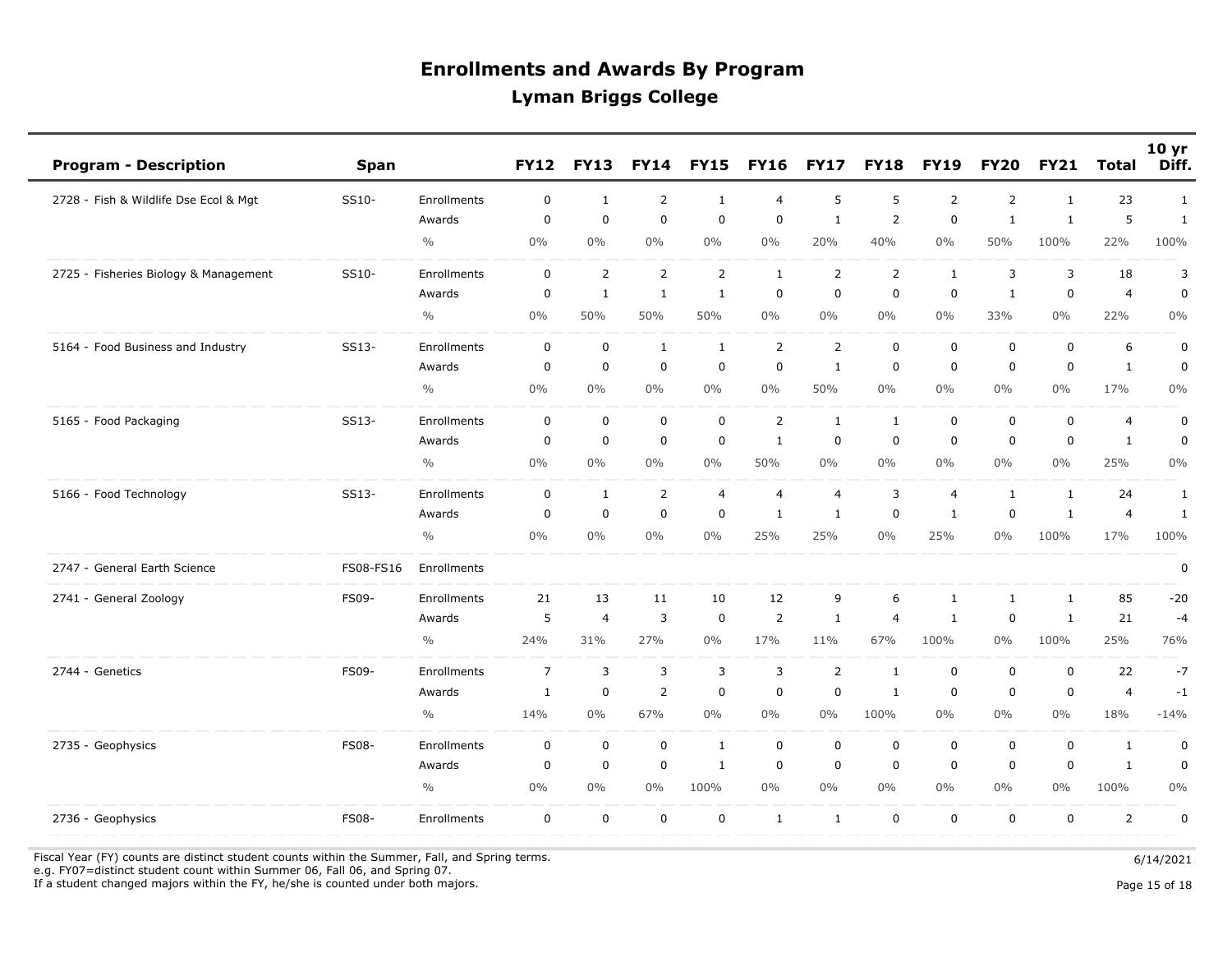| <b>Program - Description</b>                   | <b>Span</b>              | <b>FY12</b>    | <b>FY13</b>    | <b>FY14</b>    | <b>FY15</b>    | <b>FY16</b>    | <b>FY17</b>    | <b>FY18</b>    | <b>FY19</b>    | <b>FY20</b>    | <b>FY21</b>    | Total          | 10 yr<br>Diff. |
|------------------------------------------------|--------------------------|----------------|----------------|----------------|----------------|----------------|----------------|----------------|----------------|----------------|----------------|----------------|----------------|
| 2728 - Fish & Wildlife Dse Ecol & Mgt<br>SS10- | Enrollments              | $\mathbf 0$    | $\mathbf{1}$   | $\overline{2}$ | $\mathbf{1}$   | $\overline{4}$ | 5              | 5              | $\overline{2}$ | $\overline{2}$ | $\mathbf{1}$   | 23             | $\mathbf{1}$   |
|                                                | Awards                   | $\mathbf 0$    | $\mathbf 0$    | $\mathbf 0$    | $\mathbf 0$    | $\mathbf 0$    | $\mathbf{1}$   | $\overline{2}$ | $\mathbf 0$    | 1              | $\mathbf{1}$   | 5              | $\mathbf{1}$   |
|                                                | $\frac{0}{0}$            | 0%             | $0\%$          | $0\%$          | $0\%$          | $0\%$          | 20%            | 40%            | $0\%$          | 50%            | 100%           | 22%            | 100%           |
| SS10-<br>2725 - Fisheries Biology & Management | Enrollments              | $\mathbf 0$    | $\overline{2}$ | $\overline{2}$ | $\overline{2}$ | $\mathbf{1}$   | $\overline{2}$ | $\overline{2}$ | $\mathbf{1}$   | 3              | $\overline{3}$ | 18             | 3              |
|                                                | Awards                   | $\mathbf 0$    | $\mathbf{1}$   | $\mathbf 1$    | $\mathbf{1}$   | $\mathbf 0$    | $\mathbf 0$    | $\mathbf 0$    | $\mathbf 0$    | $\mathbf{1}$   | $\mathbf 0$    | $\overline{4}$ | $\mathbf 0$    |
|                                                | $\frac{0}{0}$            | $0\%$          | 50%            | 50%            | 50%            | $0\%$          | $0\%$          | $0\%$          | $0\%$          | 33%            | $0\%$          | 22%            | $0\%$          |
| 5164 - Food Business and Industry<br>SS13-     | Enrollments              | $\mathbf 0$    | $\pmb{0}$      | $\mathbf{1}$   | $\mathbf{1}$   | $\overline{2}$ | 2              | $\mathbf 0$    | $\mathbf 0$    | $\mathbf 0$    | $\mathbf 0$    | 6              | $\mathbf 0$    |
|                                                | Awards                   | $\mathbf 0$    | $\mathbf 0$    | $\mathbf 0$    | $\mathbf 0$    | $\mathbf 0$    | $\mathbf{1}$   | $\pmb{0}$      | $\mathbf 0$    | $\mathbf 0$    | $\mathbf 0$    | $\mathbf{1}$   | $\pmb{0}$      |
|                                                | $\frac{0}{0}$            | 0%             | $0\%$          | 0%             | $0\%$          | $0\%$          | 50%            | $0\%$          | $0\%$          | $0\%$          | $0\%$          | 17%            | 0%             |
| SS13-<br>5165 - Food Packaging                 | Enrollments              | $\mathbf 0$    | $\mathbf 0$    | $\mathbf 0$    | $\mathbf 0$    | $\overline{2}$ | $\mathbf{1}$   | $\mathbf{1}$   | $\mathbf 0$    | $\mathbf 0$    | $\mathbf 0$    | $\overline{4}$ | $\pmb{0}$      |
|                                                | Awards                   | $\mathbf 0$    | $\mathbf 0$    | $\mathbf 0$    | $\mathbf 0$    | $\mathbf{1}$   | $\mathbf 0$    | $\mathbf 0$    | $\mathbf 0$    | $\mathbf 0$    | $\mathbf 0$    | $\mathbf{1}$   | $\pmb{0}$      |
|                                                | $\frac{0}{0}$            | 0%             | $0\%$          | $0\%$          | $0\%$          | 50%            | $0\%$          | $0\%$          | $0\%$          | $0\%$          | $0\%$          | 25%            | $0\%$          |
| 5166 - Food Technology<br>SS13-                | Enrollments              | $\mathbf 0$    | $\mathbf{1}$   | $\overline{2}$ | $\overline{a}$ | $\overline{4}$ | $\overline{4}$ | 3              | $\overline{4}$ | $\mathbf{1}$   | $\mathbf{1}$   | 24             | $\mathbf{1}$   |
|                                                | Awards                   | $\mathbf 0$    | $\mathbf 0$    | $\mathbf 0$    | $\pmb{0}$      | 1              | 1              | 0              | $\mathbf{1}$   | $\mathbf 0$    | $\mathbf{1}$   | $\overline{4}$ | $\mathbf{1}$   |
|                                                | $\frac{0}{0}$            | 0%             | $0\%$          | $0\%$          | $0\%$          | 25%            | 25%            | $0\%$          | 25%            | $0\%$          | 100%           | 17%            | 100%           |
| 2747 - General Earth Science                   | FS08-FS16<br>Enrollments |                |                |                |                |                |                |                |                |                |                |                | $\pmb{0}$      |
| FS09-<br>2741 - General Zoology                | Enrollments              | 21             | 13             | 11             | 10             | 12             | 9              | 6              | $\mathbf{1}$   | $\mathbf{1}$   | $\mathbf{1}$   | 85             | $-20$          |
|                                                | Awards                   | 5              | $\overline{4}$ | 3              | $\mathbf 0$    | $\overline{2}$ | $\mathbf{1}$   | $\overline{4}$ | $\mathbf{1}$   | $\mathbf 0$    | $\mathbf{1}$   | 21             | $-4$           |
|                                                | $\frac{0}{0}$            | 24%            | 31%            | 27%            | $0\%$          | 17%            | 11%            | 67%            | 100%           | $0\%$          | 100%           | 25%            | 76%            |
| FS09-<br>2744 - Genetics                       | Enrollments              | $\overline{7}$ | 3              | 3              | 3              | 3              | $\overline{2}$ | 1              | $\mathbf 0$    | 0              | $\mathbf 0$    | 22             | $-7$           |
|                                                | Awards                   | 1              | $\mathbf 0$    | $\overline{2}$ | $\mathbf 0$    | $\mathsf 0$    | $\mathbf 0$    | $\mathbf{1}$   | $\mathbf 0$    | $\mathbf 0$    | $\mathbf 0$    | $\overline{4}$ | $-1$           |
|                                                | $\frac{0}{0}$            | 14%            | $0\%$          | 67%            | $0\%$          | $0\%$          | $0\%$          | 100%           | $0\%$          | $0\%$          | $0\%$          | 18%            | $-14%$         |
| <b>FS08-</b><br>2735 - Geophysics              | Enrollments              | $\mathbf 0$    | $\mathbf 0$    | $\mathbf 0$    | $\mathbf{1}$   | $\mathbf 0$    | $\mathbf 0$    | $\mathbf 0$    | $\mathbf 0$    | $\mathbf 0$    | $\mathbf 0$    | $\mathbf{1}$   | $\pmb{0}$      |
|                                                | Awards                   | $\mathbf 0$    | $\mathbf 0$    | $\mathbf 0$    | $\mathbf{1}$   | $\mathbf 0$    | $\mathbf 0$    | $\mathbf 0$    | $\mathbf 0$    | $\mathbf 0$    | $\mathbf 0$    | $\mathbf{1}$   | $\mathbf 0$    |
|                                                | $\frac{0}{0}$            | $0\%$          | $0\%$          | $0\%$          | 100%           | $0\%$          | $0\%$          | $0\%$          | $0\%$          | $0\%$          | $0\%$          | 100%           | $0\%$          |
| 2736 - Geophysics<br><b>FS08-</b>              | Enrollments              | $\mathbf 0$    | $\mathsf 0$    | $\mathbf 0$    | $\mathsf 0$    | $\mathbf{1}$   | $\mathbf{1}$   | $\mathbf 0$    | $\mathbf 0$    | $\mathbf 0$    | $\mathbf 0$    | $\overline{2}$ | $\pmb{0}$      |

Fiscal Year (FY) counts are distinct student counts within the Summer, Fall, and Spring terms.  $6/14/2021$ e.g. FY07=distinct student count within Summer 06, Fall 06, and Spring 07.

If a student changed majors within the FY, he/she is counted under both majors. Page 15 of 18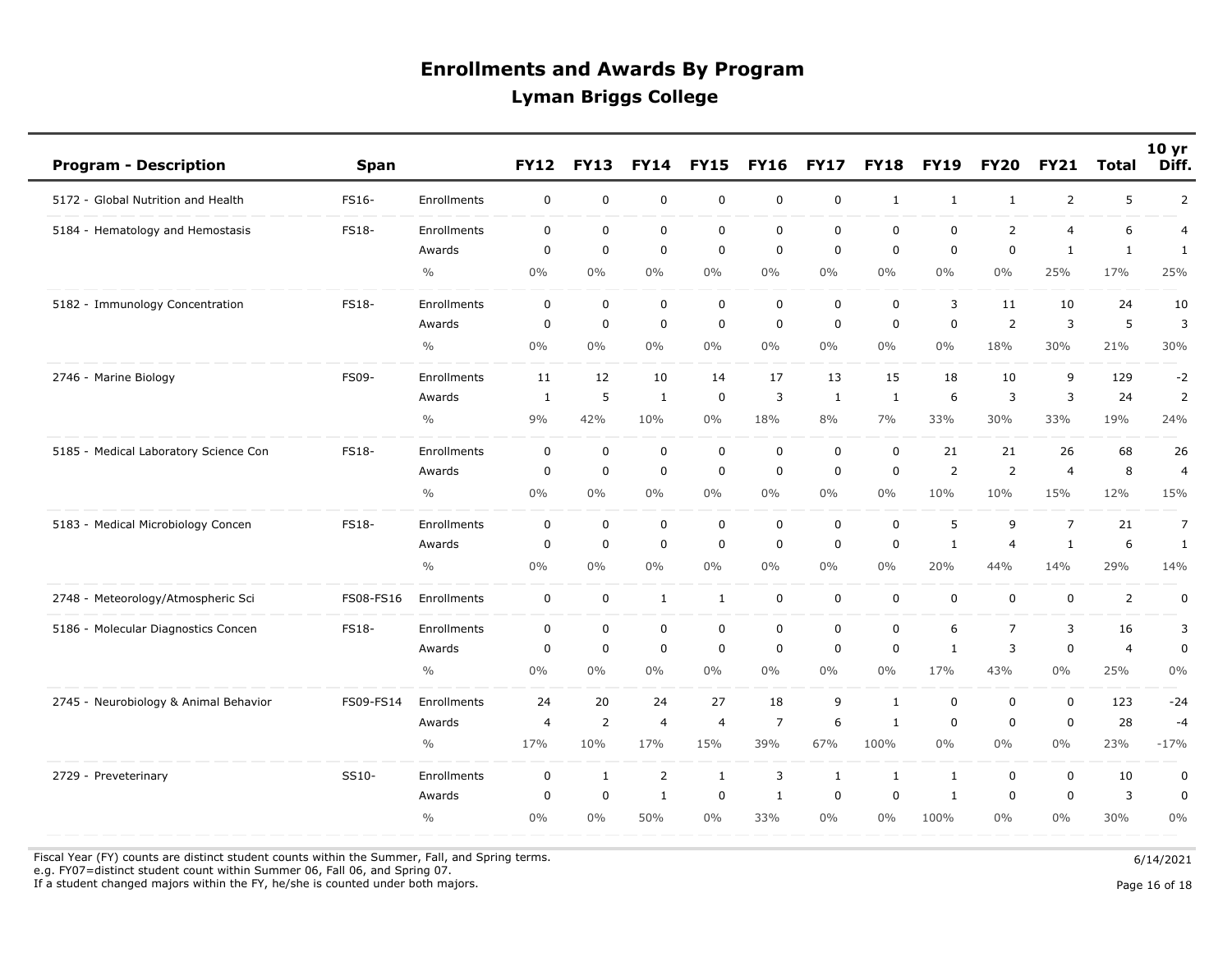| <b>Program - Description</b>          | <b>Span</b>  |                    | <b>FY12</b>  | <b>FY13</b>    | <b>FY14</b>    | <b>FY15</b>    | <b>FY16</b>    | <b>FY17</b>  | <b>FY18</b>  | <b>FY19</b>    | <b>FY20</b>    | <b>FY21</b>    | <b>Total</b>   | 10 <sub>yr</sub><br>Diff. |
|---------------------------------------|--------------|--------------------|--------------|----------------|----------------|----------------|----------------|--------------|--------------|----------------|----------------|----------------|----------------|---------------------------|
| 5172 - Global Nutrition and Health    | FS16-        | Enrollments        | $\mathbf 0$  | $\pmb{0}$      | $\mathbf 0$    | $\pmb{0}$      | $\mathbf 0$    | $\pmb{0}$    | $\mathbf{1}$ | $\mathbf{1}$   | $\mathbf{1}$   | $\overline{2}$ | 5              | $\overline{2}$            |
| 5184 - Hematology and Hemostasis      | FS18-        | Enrollments        | $\mathbf 0$  | $\mathbf 0$    | $\mathbf 0$    | $\mathbf 0$    | 0              | $\mathbf 0$  | $\mathbf 0$  | $\mathbf 0$    | $\overline{2}$ | $\overline{4}$ | 6              | $\overline{4}$            |
|                                       |              | Awards             | $\mathbf 0$  | $\mathbf 0$    | $\mathbf 0$    | $\mathbf 0$    | $\mathbf 0$    | $\mathbf 0$  | $\mathbf 0$  | $\mathbf 0$    | $\mathbf 0$    | $\mathbf{1}$   | $\mathbf{1}$   | $\mathbf{1}$              |
|                                       |              | $\frac{0}{0}$      | $0\%$        | 0%             | $0\%$          | $0\%$          | $0\%$          | $0\%$        | $0\%$        | $0\%$          | $0\%$          | 25%            | 17%            | 25%                       |
| 5182 - Immunology Concentration       | <b>FS18-</b> | Enrollments        | $\mathbf 0$  | $\mathbf 0$    | $\mathbf 0$    | $\mathbf 0$    | $\mathbf 0$    | $\mathbf 0$  | $\mathbf 0$  | 3              | 11             | 10             | 24             | 10                        |
|                                       |              | Awards             | 0            | $\pmb{0}$      | $\mathbf 0$    | $\mathbf 0$    | $\mathbf 0$    | $\mathbf 0$  | 0            | $\mathbf 0$    | $\overline{2}$ | 3              | 5              | 3                         |
|                                       |              | $\frac{0}{0}$      | $0\%$        | $0\%$          | $0\%$          | $0\%$          | 0%             | $0\%$        | $0\%$        | $0\%$          | 18%            | 30%            | 21%            | 30%                       |
| 2746 - Marine Biology                 | FS09-        | Enrollments        | 11           | 12             | 10             | 14             | 17             | 13           | 15           | 18             | 10             | 9              | 129            | $-2$                      |
|                                       |              | Awards             | $\mathbf{1}$ | 5              | $\mathbf{1}$   | $\mathbf 0$    | 3              | 1            | $\mathbf{1}$ | 6              | 3              | 3              | 24             | $\overline{2}$            |
|                                       |              | $\frac{0}{0}$      | 9%           | 42%            | 10%            | $0\%$          | 18%            | 8%           | 7%           | 33%            | 30%            | 33%            | 19%            | 24%                       |
| 5185 - Medical Laboratory Science Con | FS18-        | <b>Enrollments</b> | $\mathbf 0$  | $\mathbf 0$    | $\mathbf 0$    | $\mathbf 0$    | $\mathbf 0$    | $\mathbf 0$  | $\mathbf 0$  | 21             | 21             | 26             | 68             | 26                        |
|                                       |              | Awards             | $\mathbf 0$  | $\mathbf 0$    | $\mathbf 0$    | $\mathbf 0$    | $\mathbf 0$    | $\pmb{0}$    | $\mathbf 0$  | $\overline{2}$ | $\overline{2}$ | $\overline{4}$ | 8              | $\overline{4}$            |
|                                       |              | $\frac{0}{0}$      | $0\%$        | 0%             | $0\%$          | 0%             | 0%             | $0\%$        | 0%           | 10%            | 10%            | 15%            | 12%            | 15%                       |
| 5183 - Medical Microbiology Concen    | FS18-        | <b>Enrollments</b> | $\mathbf 0$  | $\pmb{0}$      | $\mathbf 0$    | $\mathsf 0$    | 0              | $\mathbf 0$  | $\mathbf 0$  | 5              | 9              | $\overline{7}$ | 21             | $\overline{7}$            |
|                                       |              | Awards             | $\mathbf 0$  | $\mathbf 0$    | $\mathbf 0$    | $\mathbf 0$    | $\mathbf 0$    | $\mathbf 0$  | $\mathbf 0$  | $\mathbf{1}$   | 4              | 1              | 6              | $\mathbf{1}$              |
|                                       |              | $\frac{0}{0}$      | $0\%$        | 0%             | $0\%$          | $0\%$          | 0%             | $0\%$        | 0%           | 20%            | 44%            | 14%            | 29%            | 14%                       |
| 2748 - Meteorology/Atmospheric Sci    | FS08-FS16    | Enrollments        | $\mathbf 0$  | $\mathbf 0$    | $\mathbf{1}$   | $\mathbf{1}$   | $\mathbf 0$    | $\mathbf 0$  | $\mathbf 0$  | $\mathbf 0$    | $\mathbf 0$    | $\mathbf 0$    | $\overline{2}$ | $\pmb{0}$                 |
| 5186 - Molecular Diagnostics Concen   | FS18-        | Enrollments        | $\mathbf 0$  | $\mathbf 0$    | $\mathbf 0$    | $\mathbf 0$    | $\mathbf 0$    | $\mathbf 0$  | $\mathbf 0$  | 6              | $\overline{7}$ | 3              | 16             | 3                         |
|                                       |              | Awards             | $\mathbf 0$  | $\mathbf 0$    | $\Omega$       | $\Omega$       | $\Omega$       | $\mathbf 0$  | $\mathbf 0$  | $\mathbf{1}$   | 3              | $\mathbf 0$    | $\overline{4}$ | $\pmb{0}$                 |
|                                       |              | $\frac{0}{0}$      | $0\%$        | 0%             | $0\%$          | $0\%$          | 0%             | $0\%$        | $0\%$        | 17%            | 43%            | $0\%$          | 25%            | $0\%$                     |
| 2745 - Neurobiology & Animal Behavior | FS09-FS14    | Enrollments        | 24           | 20             | 24             | 27             | 18             | 9            | $\mathbf{1}$ | $\mathbf 0$    | $\mathbf 0$    | $\mathbf 0$    | 123            | $-24$                     |
|                                       |              | Awards             | 4            | $\overline{2}$ | 4              | $\overline{4}$ | $\overline{7}$ | 6            | $\mathbf{1}$ | $\mathbf 0$    | 0              | $\mathbf 0$    | 28             | $-4$                      |
|                                       |              | $\frac{0}{0}$      | 17%          | 10%            | 17%            | 15%            | 39%            | 67%          | 100%         | $0\%$          | $0\%$          | $0\%$          | 23%            | $-17%$                    |
| 2729 - Preveterinary                  | SS10-        | Enrollments        | $\mathbf 0$  | $\mathbf{1}$   | $\overline{2}$ | $\mathbf{1}$   | 3              | $\mathbf{1}$ | $\mathbf{1}$ | $\mathbf{1}$   | $\mathbf 0$    | 0              | 10             | $\pmb{0}$                 |
|                                       |              | Awards             | $\mathbf 0$  | 0              | 1              | $\mathbf 0$    | 1              | $\mathbf 0$  | $\mathbf 0$  | $\mathbf{1}$   | $\mathbf 0$    | $\mathbf 0$    | 3              | $\mathbf 0$               |
|                                       |              | $\frac{0}{0}$      | 0%           | $0\%$          | 50%            | 0%             | 33%            | $0\%$        | 0%           | 100%           | $0\%$          | $0\%$          | 30%            | 0%                        |

Fiscal Year (FY) counts are distinct student counts within the Summer, Fall, and Spring terms.  $6/14/2021$ 

e.g. FY07=distinct student count within Summer 06, Fall 06, and Spring 07.

If a student changed majors within the FY, he/she is counted under both majors. Page 16 of 18 and the student of the student changed majors within the FY, he/she is counted under both majors.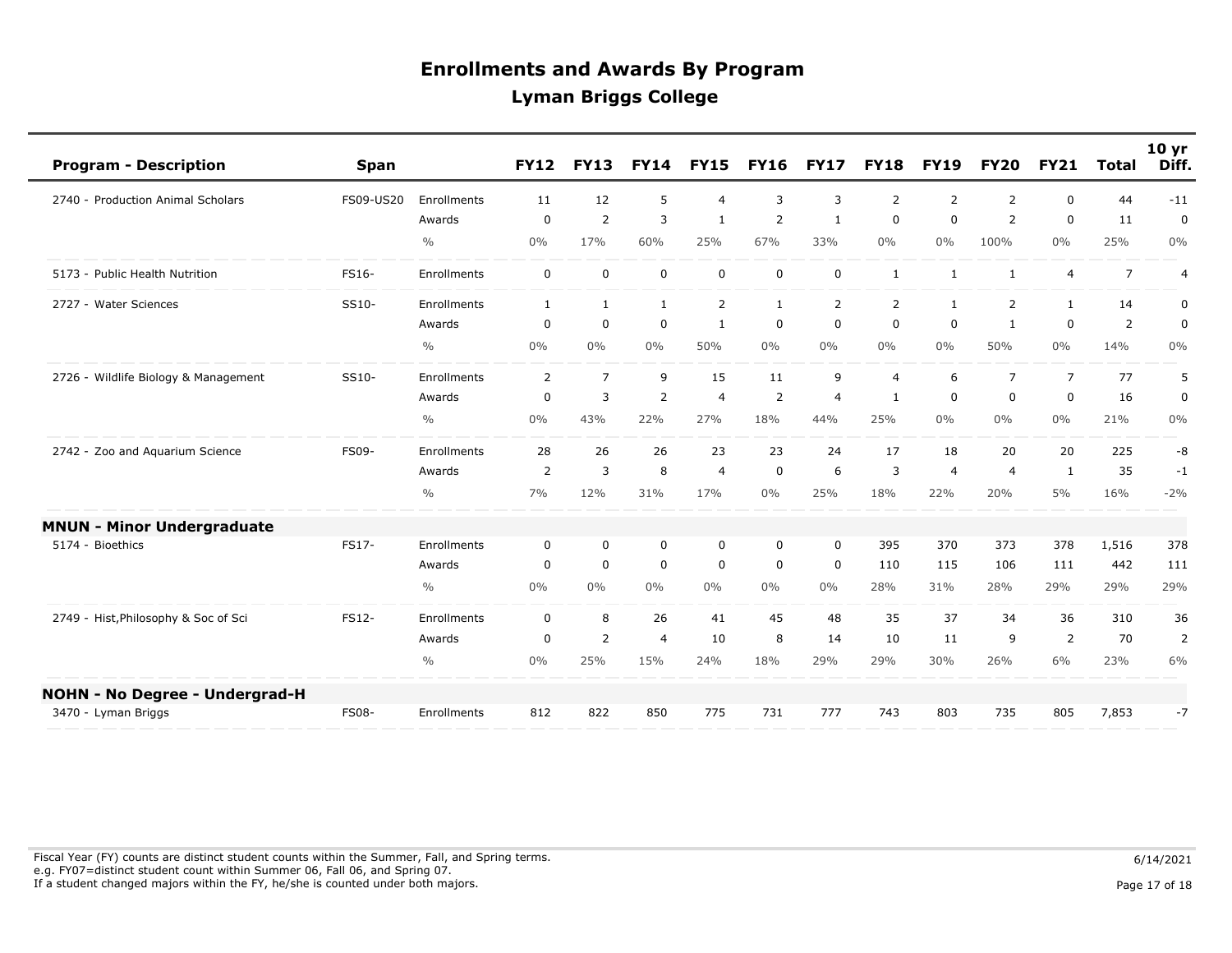| <b>Program - Description</b>         | <b>Span</b>  |               | <b>FY12</b>    | <b>FY13</b>    | <b>FY14</b>    | <b>FY15</b>    | <b>FY16</b>  | <b>FY17</b>    | <b>FY18</b>    | <b>FY19</b>    | <b>FY20</b>    | <b>FY21</b>    | Total          | 10 <sub>yr</sub><br>Diff. |
|--------------------------------------|--------------|---------------|----------------|----------------|----------------|----------------|--------------|----------------|----------------|----------------|----------------|----------------|----------------|---------------------------|
| 2740 - Production Animal Scholars    | FS09-US20    | Enrollments   | 11             | 12             | 5              | $\overline{4}$ | 3            | 3              | $\overline{2}$ | $\overline{2}$ | 2              | $\mathbf 0$    | 44             | $-11$                     |
|                                      |              | Awards        | $\Omega$       | 2              | 3              | $\mathbf{1}$   | 2            | 1              | $\mathbf 0$    | $\Omega$       | $\overline{2}$ | $\Omega$       | 11             | 0                         |
|                                      |              | $\frac{0}{0}$ | 0%             | 17%            | 60%            | 25%            | 67%          | 33%            | $0\%$          | $0\%$          | 100%           | 0%             | 25%            | $0\%$                     |
| 5173 - Public Health Nutrition       | FS16-        | Enrollments   | 0              | 0              | $\mathsf 0$    | $\mathbf 0$    | $\mathbf 0$  | $\mathbf 0$    | $\mathbf{1}$   | $\mathbf{1}$   | $\mathbf{1}$   | $\overline{4}$ | $\overline{7}$ | 4                         |
| 2727 - Water Sciences                | SS10-        | Enrollments   | $\mathbf{1}$   | 1              | $\mathbf{1}$   | $\overline{2}$ | $\mathbf{1}$ | 2              | $\overline{2}$ | 1              | $\overline{2}$ | 1              | 14             | $\mathbf 0$               |
|                                      |              | Awards        | $\mathbf 0$    | $\mathbf 0$    | $\mathbf 0$    | $\mathbf{1}$   | $\mathbf 0$  | $\mathbf 0$    | 0              | $\mathbf 0$    | 1              | $\mathbf 0$    | $\overline{2}$ | 0                         |
|                                      |              | $\frac{0}{0}$ | 0%             | 0%             | 0%             | 50%            | $0\%$        | $0\%$          | $0\%$          | $0\%$          | 50%            | $0\%$          | 14%            | 0%                        |
| 2726 - Wildlife Biology & Management | SS10-        | Enrollments   | $\overline{2}$ | $\overline{7}$ | 9              | 15             | 11           | 9              | $\overline{4}$ | 6              | $\overline{7}$ | $\overline{7}$ | 77             | 5                         |
|                                      |              | Awards        | $\mathbf 0$    | 3              | 2              | $\overline{4}$ | 2            | $\overline{4}$ | $\mathbf{1}$   | $\mathbf 0$    | $\mathbf 0$    | $\mathbf 0$    | 16             | 0                         |
|                                      |              | $\frac{0}{0}$ | 0%             | 43%            | 22%            | 27%            | 18%          | 44%            | 25%            | $0\%$          | $0\%$          | 0%             | 21%            | $0\%$                     |
| 2742 - Zoo and Aquarium Science      | <b>FS09-</b> | Enrollments   | 28             | 26             | 26             | 23             | 23           | 24             | 17             | 18             | 20             | 20             | 225            | -8                        |
|                                      |              | Awards        | 2              | 3              | 8              | $\overline{4}$ | $\mathbf 0$  | 6              | 3              | $\overline{4}$ | 4              | $\mathbf{1}$   | 35             | $-1$                      |
|                                      |              | $\frac{0}{0}$ | 7%             | 12%            | 31%            | 17%            | $0\%$        | 25%            | 18%            | 22%            | 20%            | 5%             | 16%            | $-2%$                     |
| <b>MNUN - Minor Undergraduate</b>    |              |               |                |                |                |                |              |                |                |                |                |                |                |                           |
| 5174 - Bioethics                     | FS17-        | Enrollments   | $\mathbf 0$    | $\mathbf 0$    | $\mathbf 0$    | 0              | $\mathbf 0$  | $\mathbf 0$    | 395            | 370            | 373            | 378            | 1,516          | 378                       |
|                                      |              | Awards        | $\Omega$       | $\mathbf 0$    | $\mathbf 0$    | $\mathbf 0$    | $\mathbf 0$  | $\mathbf 0$    | 110            | 115            | 106            | 111            | 442            | 111                       |
|                                      |              | $\frac{0}{0}$ | 0%             | 0%             | $0\%$          | $0\%$          | $0\%$        | $0\%$          | 28%            | 31%            | 28%            | 29%            | 29%            | 29%                       |
| 2749 - Hist, Philosophy & Soc of Sci | FS12-        | Enrollments   | $\mathbf 0$    | 8              | 26             | 41             | 45           | 48             | 35             | 37             | 34             | 36             | 310            | 36                        |
|                                      |              | Awards        | 0              | $\overline{2}$ | $\overline{4}$ | 10             | 8            | 14             | 10             | 11             | 9              | $\overline{2}$ | 70             | $\overline{2}$            |
|                                      |              | $\frac{0}{0}$ | 0%             | 25%            | 15%            | 24%            | 18%          | 29%            | 29%            | 30%            | 26%            | 6%             | 23%            | 6%                        |
| NOHN - No Degree - Undergrad-H       |              |               |                |                |                |                |              |                |                |                |                |                |                |                           |
| 3470 - Lyman Briggs                  | <b>FS08-</b> | Enrollments   | 812            | 822            | 850            | 775            | 731          | 777            | 743            | 803            | 735            | 805            | 7,853          | $-7$                      |

Fiscal Year (FY) counts are distinct student counts within the Summer, Fall, and Spring terms.  $6/14/2021$  e.g. FY07=distinct student count within Summer 06, Fall 06, and Spring 07. If a student changed majors within the FY, he/she is counted under both majors. Page 17 of 18